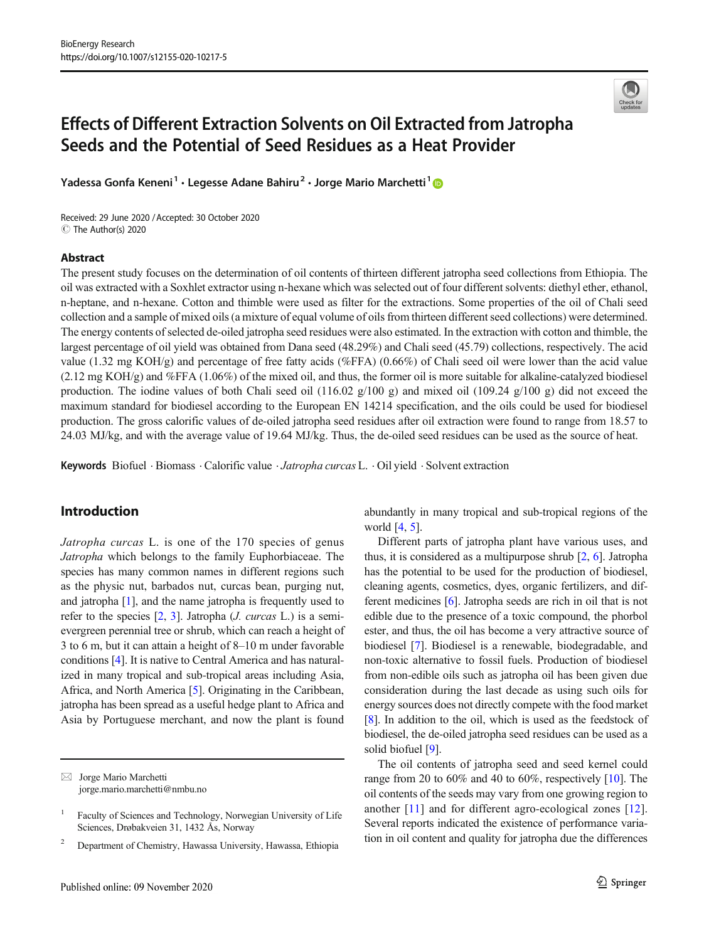# Effects of Different Extraction Solvents on Oil Extracted from Jatropha Seeds and the Potential of Seed Residues as a Heat Provider

Yadessa Gonfa Keneni<sup>1</sup> · Legesse Adane Bahiru<sup>2</sup> · Jorge Mario Marchetti<sup>1</sup> ®

Received: 29 June 2020 /Accepted: 30 October 2020 C The Author(s) 2020

#### Abstract

The present study focuses on the determination of oil contents of thirteen different jatropha seed collections from Ethiopia. The oil was extracted with a Soxhlet extractor using n-hexane which was selected out of four different solvents: diethyl ether, ethanol, n-heptane, and n-hexane. Cotton and thimble were used as filter for the extractions. Some properties of the oil of Chali seed collection and a sample of mixed oils (a mixture of equal volume of oils from thirteen different seed collections) were determined. The energy contents of selected de-oiled jatropha seed residues were also estimated. In the extraction with cotton and thimble, the largest percentage of oil yield was obtained from Dana seed (48.29%) and Chali seed (45.79) collections, respectively. The acid value (1.32 mg KOH/g) and percentage of free fatty acids (%FFA) (0.66%) of Chali seed oil were lower than the acid value (2.12 mg KOH/g) and %FFA (1.06%) of the mixed oil, and thus, the former oil is more suitable for alkaline-catalyzed biodiesel production. The iodine values of both Chali seed oil (116.02  $g/100 g$ ) and mixed oil (109.24  $g/100 g$ ) did not exceed the maximum standard for biodiesel according to the European EN 14214 specification, and the oils could be used for biodiesel production. The gross calorific values of de-oiled jatropha seed residues after oil extraction were found to range from 18.57 to 24.03 MJ/kg, and with the average value of 19.64 MJ/kg. Thus, the de-oiled seed residues can be used as the source of heat.

Keywords Biofuel · Biomass · Calorific value · Jatropha curcas L. · Oil yield · Solvent extraction

# Introduction

Jatropha curcas L. is one of the 170 species of genus Jatropha which belongs to the family Euphorbiaceae. The species has many common names in different regions such as the physic nut, barbados nut, curcas bean, purging nut, and jatropha [[1](#page-14-0)], and the name jatropha is frequently used to refer to the species  $[2, 3]$  $[2, 3]$  $[2, 3]$  $[2, 3]$  $[2, 3]$ . Jatropha (*J. curcas* L.) is a semievergreen perennial tree or shrub, which can reach a height of 3 to 6 m, but it can attain a height of 8–10 m under favorable conditions [[4\]](#page-14-0). It is native to Central America and has naturalized in many tropical and sub-tropical areas including Asia, Africa, and North America [[5\]](#page-14-0). Originating in the Caribbean, jatropha has been spread as a useful hedge plant to Africa and Asia by Portuguese merchant, and now the plant is found

 $\boxtimes$  Jorge Mario Marchetti [jorge.mario.marchetti@nmbu.no](mailto:jorge.mario.marchetti@nmbu.no) abundantly in many tropical and sub-tropical regions of the world [[4](#page-14-0), [5](#page-14-0)].

Different parts of jatropha plant have various uses, and thus, it is considered as a multipurpose shrub [\[2](#page-14-0), [6](#page-14-0)]. Jatropha has the potential to be used for the production of biodiesel, cleaning agents, cosmetics, dyes, organic fertilizers, and different medicines [[6](#page-14-0)]. Jatropha seeds are rich in oil that is not edible due to the presence of a toxic compound, the phorbol ester, and thus, the oil has become a very attractive source of biodiesel [\[7](#page-14-0)]. Biodiesel is a renewable, biodegradable, and non-toxic alternative to fossil fuels. Production of biodiesel from non-edible oils such as jatropha oil has been given due consideration during the last decade as using such oils for energy sources does not directly compete with the food market [\[8](#page-14-0)]. In addition to the oil, which is used as the feedstock of biodiesel, the de-oiled jatropha seed residues can be used as a solid biofuel [[9\]](#page-14-0).

The oil contents of jatropha seed and seed kernel could range from 20 to 60% and 40 to 60%, respectively [\[10\]](#page-14-0). The oil contents of the seeds may vary from one growing region to another [\[11](#page-14-0)] and for different agro-ecological zones [\[12](#page-14-0)]. Several reports indicated the existence of performance variation in oil content and quality for jatropha due the differences



<sup>1</sup> Faculty of Sciences and Technology, Norwegian University of Life Sciences, Drøbakveien 31, 1432 Ås, Norway

<sup>2</sup> Department of Chemistry, Hawassa University, Hawassa, Ethiopia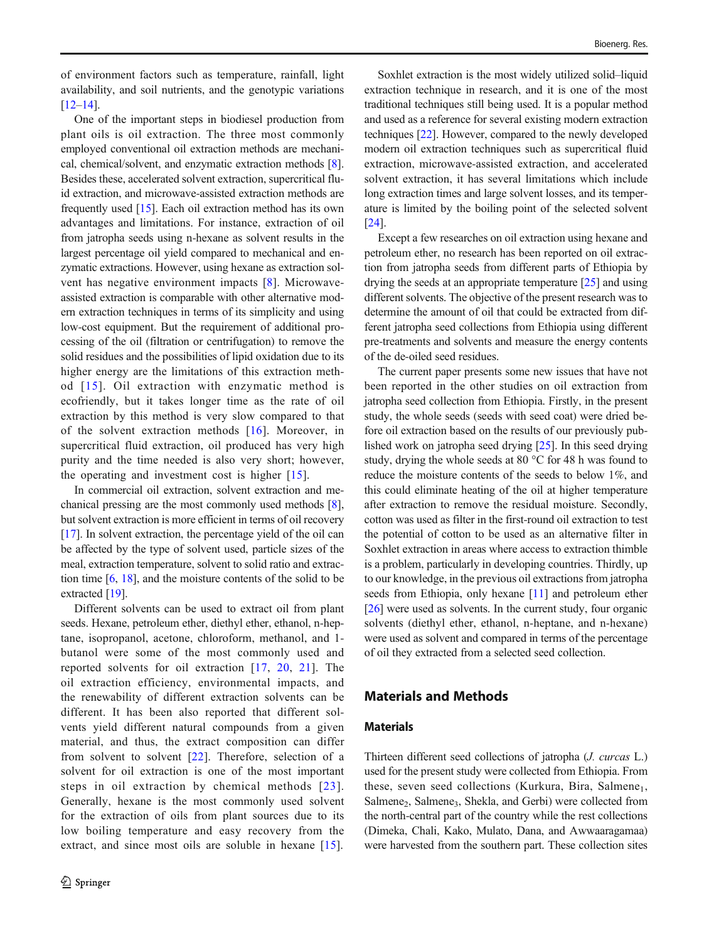of environment factors such as temperature, rainfall, light availability, and soil nutrients, and the genotypic variations [\[12](#page-14-0)–[14\]](#page-14-0).

One of the important steps in biodiesel production from plant oils is oil extraction. The three most commonly employed conventional oil extraction methods are mechanical, chemical/solvent, and enzymatic extraction methods [[8\]](#page-14-0). Besides these, accelerated solvent extraction, supercritical fluid extraction, and microwave-assisted extraction methods are frequently used [\[15](#page-14-0)]. Each oil extraction method has its own advantages and limitations. For instance, extraction of oil from jatropha seeds using n-hexane as solvent results in the largest percentage oil yield compared to mechanical and enzymatic extractions. However, using hexane as extraction solvent has negative environment impacts [\[8](#page-14-0)]. Microwaveassisted extraction is comparable with other alternative modern extraction techniques in terms of its simplicity and using low-cost equipment. But the requirement of additional processing of the oil (filtration or centrifugation) to remove the solid residues and the possibilities of lipid oxidation due to its higher energy are the limitations of this extraction method [[15\]](#page-14-0). Oil extraction with enzymatic method is ecofriendly, but it takes longer time as the rate of oil extraction by this method is very slow compared to that of the solvent extraction methods [[16\]](#page-14-0). Moreover, in supercritical fluid extraction, oil produced has very high purity and the time needed is also very short; however, the operating and investment cost is higher [\[15](#page-14-0)].

In commercial oil extraction, solvent extraction and mechanical pressing are the most commonly used methods [[8\]](#page-14-0), but solvent extraction is more efficient in terms of oil recovery [\[17\]](#page-14-0). In solvent extraction, the percentage yield of the oil can be affected by the type of solvent used, particle sizes of the meal, extraction temperature, solvent to solid ratio and extraction time [[6,](#page-14-0) [18\]](#page-14-0), and the moisture contents of the solid to be extracted [\[19\]](#page-14-0).

Different solvents can be used to extract oil from plant seeds. Hexane, petroleum ether, diethyl ether, ethanol, n-heptane, isopropanol, acetone, chloroform, methanol, and 1 butanol were some of the most commonly used and reported solvents for oil extraction [\[17,](#page-14-0) [20](#page-14-0), [21\]](#page-14-0). The oil extraction efficiency, environmental impacts, and the renewability of different extraction solvents can be different. It has been also reported that different solvents yield different natural compounds from a given material, and thus, the extract composition can differ from solvent to solvent [\[22](#page-14-0)]. Therefore, selection of a solvent for oil extraction is one of the most important steps in oil extraction by chemical methods [[23\]](#page-14-0). Generally, hexane is the most commonly used solvent for the extraction of oils from plant sources due to its low boiling temperature and easy recovery from the extract, and since most oils are soluble in hexane [[15\]](#page-14-0).

Soxhlet extraction is the most widely utilized solid–liquid extraction technique in research, and it is one of the most traditional techniques still being used. It is a popular method and used as a reference for several existing modern extraction techniques [\[22](#page-14-0)]. However, compared to the newly developed modern oil extraction techniques such as supercritical fluid extraction, microwave-assisted extraction, and accelerated solvent extraction, it has several limitations which include long extraction times and large solvent losses, and its temperature is limited by the boiling point of the selected solvent [\[24](#page-14-0)].

Except a few researches on oil extraction using hexane and petroleum ether, no research has been reported on oil extraction from jatropha seeds from different parts of Ethiopia by drying the seeds at an appropriate temperature [\[25\]](#page-14-0) and using different solvents. The objective of the present research was to determine the amount of oil that could be extracted from different jatropha seed collections from Ethiopia using different pre-treatments and solvents and measure the energy contents of the de-oiled seed residues.

The current paper presents some new issues that have not been reported in the other studies on oil extraction from jatropha seed collection from Ethiopia. Firstly, in the present study, the whole seeds (seeds with seed coat) were dried before oil extraction based on the results of our previously published work on jatropha seed drying [\[25\]](#page-14-0). In this seed drying study, drying the whole seeds at 80 °C for 48 h was found to reduce the moisture contents of the seeds to below 1%, and this could eliminate heating of the oil at higher temperature after extraction to remove the residual moisture. Secondly, cotton was used as filter in the first-round oil extraction to test the potential of cotton to be used as an alternative filter in Soxhlet extraction in areas where access to extraction thimble is a problem, particularly in developing countries. Thirdly, up to our knowledge, in the previous oil extractions from jatropha seeds from Ethiopia, only hexane [[11](#page-14-0)] and petroleum ether [\[26](#page-14-0)] were used as solvents. In the current study, four organic solvents (diethyl ether, ethanol, n-heptane, and n-hexane) were used as solvent and compared in terms of the percentage of oil they extracted from a selected seed collection.

## Materials and Methods

#### **Materials**

Thirteen different seed collections of jatropha (J. curcas L.) used for the present study were collected from Ethiopia. From these, seven seed collections (Kurkura, Bira, Salmene<sub>1</sub>, Salmene<sub>2</sub>, Salmene<sub>3</sub>, Shekla, and Gerbi) were collected from the north-central part of the country while the rest collections (Dimeka, Chali, Kako, Mulato, Dana, and Awwaaragamaa) were harvested from the southern part. These collection sites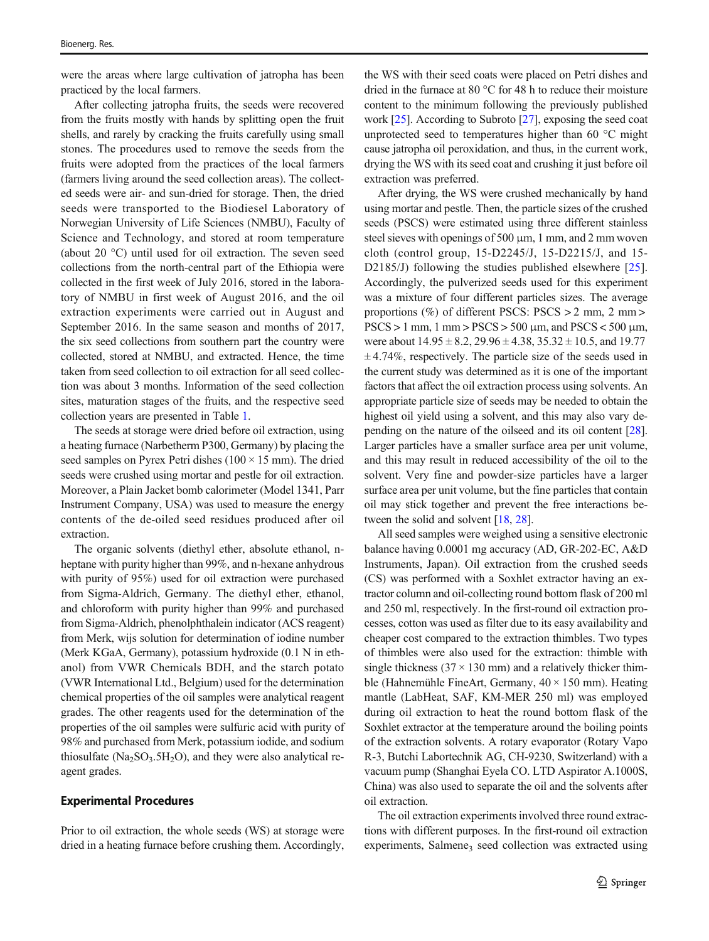were the areas where large cultivation of jatropha has been practiced by the local farmers.

After collecting jatropha fruits, the seeds were recovered from the fruits mostly with hands by splitting open the fruit shells, and rarely by cracking the fruits carefully using small stones. The procedures used to remove the seeds from the fruits were adopted from the practices of the local farmers (farmers living around the seed collection areas). The collected seeds were air- and sun-dried for storage. Then, the dried seeds were transported to the Biodiesel Laboratory of Norwegian University of Life Sciences (NMBU), Faculty of Science and Technology, and stored at room temperature (about 20 °C) until used for oil extraction. The seven seed collections from the north-central part of the Ethiopia were collected in the first week of July 2016, stored in the laboratory of NMBU in first week of August 2016, and the oil extraction experiments were carried out in August and September 2016. In the same season and months of 2017, the six seed collections from southern part the country were collected, stored at NMBU, and extracted. Hence, the time taken from seed collection to oil extraction for all seed collection was about 3 months. Information of the seed collection sites, maturation stages of the fruits, and the respective seed collection years are presented in Table [1](#page-3-0).

The seeds at storage were dried before oil extraction, using a heating furnace (Narbetherm P300, Germany) by placing the seed samples on Pyrex Petri dishes  $(100 \times 15 \text{ mm})$ . The dried seeds were crushed using mortar and pestle for oil extraction. Moreover, a Plain Jacket bomb calorimeter (Model 1341, Parr Instrument Company, USA) was used to measure the energy contents of the de-oiled seed residues produced after oil extraction.

The organic solvents (diethyl ether, absolute ethanol, nheptane with purity higher than 99%, and n-hexane anhydrous with purity of 95%) used for oil extraction were purchased from Sigma-Aldrich, Germany. The diethyl ether, ethanol, and chloroform with purity higher than 99% and purchased from Sigma-Aldrich, phenolphthalein indicator (ACS reagent) from Merk, wijs solution for determination of iodine number (Merk KGaA, Germany), potassium hydroxide (0.1 N in ethanol) from VWR Chemicals BDH, and the starch potato (VWR International Ltd., Belgium) used for the determination chemical properties of the oil samples were analytical reagent grades. The other reagents used for the determination of the properties of the oil samples were sulfuric acid with purity of 98% and purchased from Merk, potassium iodide, and sodium thiosulfate  $(Na_2SO_3.5H_2O)$ , and they were also analytical reagent grades.

#### Experimental Procedures

Prior to oil extraction, the whole seeds (WS) at storage were dried in a heating furnace before crushing them. Accordingly,

the WS with their seed coats were placed on Petri dishes and dried in the furnace at 80 °C for 48 h to reduce their moisture content to the minimum following the previously published work [[25](#page-14-0)]. According to Subroto [\[27\]](#page-14-0), exposing the seed coat unprotected seed to temperatures higher than 60 °C might cause jatropha oil peroxidation, and thus, in the current work, drying the WS with its seed coat and crushing it just before oil extraction was preferred.

After drying, the WS were crushed mechanically by hand using mortar and pestle. Then, the particle sizes of the crushed seeds (PSCS) were estimated using three different stainless steel sieves with openings of 500 μm, 1 mm, and 2 mm woven cloth (control group, 15-D2245/J, 15-D2215/J, and 15- D2185/J) following the studies published elsewhere [\[25](#page-14-0)]. Accordingly, the pulverized seeds used for this experiment was a mixture of four different particles sizes. The average proportions (%) of different PSCS: PSCS > 2 mm, 2 mm >  $PSCS > 1$  mm,  $1$  mm  $>$   $PSCS > 500$   $\mu$ m, and  $PSCS < 500$   $\mu$ m, were about  $14.95 \pm 8.2$ ,  $29.96 \pm 4.38$ ,  $35.32 \pm 10.5$ , and  $19.77$  $\pm$  4.74%, respectively. The particle size of the seeds used in the current study was determined as it is one of the important factors that affect the oil extraction process using solvents. An appropriate particle size of seeds may be needed to obtain the highest oil yield using a solvent, and this may also vary depending on the nature of the oilseed and its oil content [[28\]](#page-14-0). Larger particles have a smaller surface area per unit volume, and this may result in reduced accessibility of the oil to the solvent. Very fine and powder-size particles have a larger surface area per unit volume, but the fine particles that contain oil may stick together and prevent the free interactions be-tween the solid and solvent [\[18](#page-14-0), [28\]](#page-14-0).

All seed samples were weighed using a sensitive electronic balance having 0.0001 mg accuracy (AD, GR-202-EC, A&D Instruments, Japan). Oil extraction from the crushed seeds (CS) was performed with a Soxhlet extractor having an extractor column and oil-collecting round bottom flask of 200 ml and 250 ml, respectively. In the first-round oil extraction processes, cotton was used as filter due to its easy availability and cheaper cost compared to the extraction thimbles. Two types of thimbles were also used for the extraction: thimble with single thickness  $(37 \times 130 \text{ mm})$  and a relatively thicker thimble (Hahnemühle FineArt, Germany,  $40 \times 150$  mm). Heating mantle (LabHeat, SAF, KM-MER 250 ml) was employed during oil extraction to heat the round bottom flask of the Soxhlet extractor at the temperature around the boiling points of the extraction solvents. A rotary evaporator (Rotary Vapo R-3, Butchi Labortechnik AG, CH-9230, Switzerland) with a vacuum pump (Shanghai Eyela CO. LTD Aspirator A.1000S, China) was also used to separate the oil and the solvents after oil extraction.

The oil extraction experiments involved three round extractions with different purposes. In the first-round oil extraction experiments, Salmene<sub>3</sub> seed collection was extracted using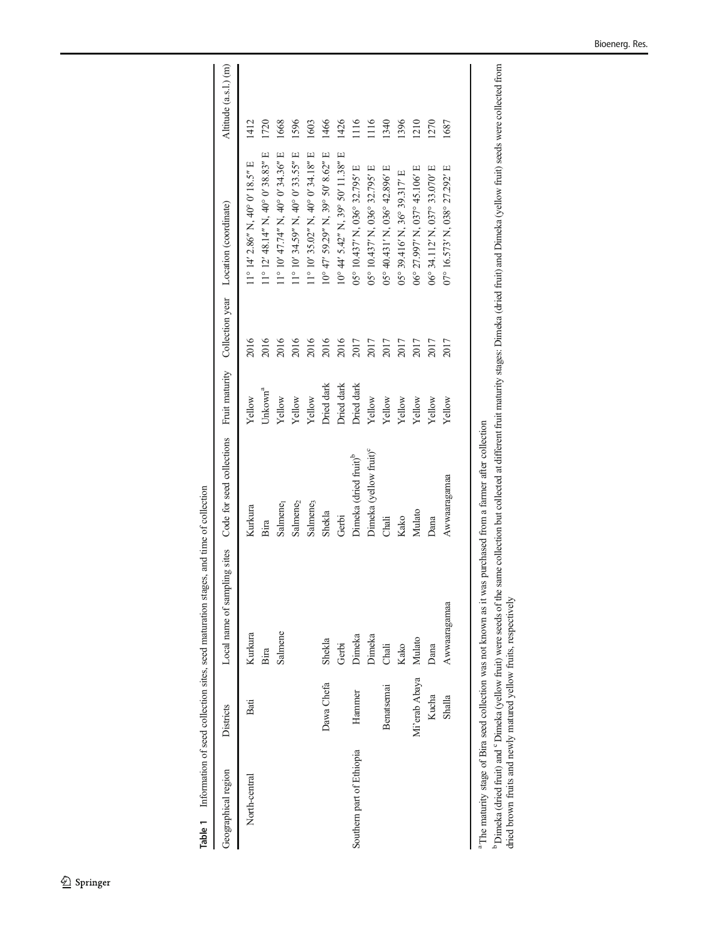Table 1 Information of seed collection sites, seed maturation stages, and time of collection  $\frac{1}{4}$  $\frac{1}{2}$  $\ddot{ }$  $\frac{1}{2}$  $\ddot{\phantom{0}}$ J. ŀ.  $\frac{1}{2}$  $\epsilon$ Ŕ  $I_{\text{in}}$ Table 1

<span id="page-3-0"></span>

|                           |               | <b>Lable 1</b> Internation of seed collection sites, seed maturation stages, and time of collection          |                                    |                     |      |                                          |                       |
|---------------------------|---------------|--------------------------------------------------------------------------------------------------------------|------------------------------------|---------------------|------|------------------------------------------|-----------------------|
| Geographical region       | Districts     | Local name of sampling sites Code for seed collections Fruit maturity Collection year Location (coordinate)  |                                    |                     |      |                                          | Altitude (a.s.l.) (m) |
| North-central             | Bati          | Kurkura                                                                                                      | Kurkura                            | Yellow              | 2016 | $11^{\circ}$ 14' 2.86" N, 40° 0' 18.5" E | 412                   |
|                           |               | Bira                                                                                                         | Bira                               | Unkown <sup>a</sup> | 2016 | 11° 12' 48.14" N, 40° 0' 38.83" E        | 1720                  |
|                           |               | Salmene                                                                                                      | Salmene <sub>]</sub>               | Yellow              | 2016 | 11° 10' 47.74" N, 40° 0' 34.36" E        | 1668                  |
|                           |               |                                                                                                              | Salmene <sub>2</sub>               | Yellow              | 2016 | 11° 10' 34.59" N, 40° 0' 33.55" E        | 1596                  |
|                           |               |                                                                                                              | Salmene <sub>3</sub>               | Yellow              | 2016 | 11° 10' 35.02" N, 40° 0' 34.18" E        | 1603                  |
|                           | Dawa Chefa    | Shekla                                                                                                       | Shekla                             | Dried dark          | 2016 | 10° 47' 59.29" N, 39° 50' 8.62" E        | 1466                  |
|                           |               | Gerbi                                                                                                        | Gerbi                              | Dried dark          | 2016 | 10° 44' 5.42" N, 39° 50' 11.38" E        | 1426                  |
| Southern part of Ethiopia | Hammer        | Dimeka                                                                                                       | Dimeka (dried fruit) <sup>b</sup>  | Dried dark          | 2017 | 05° 10.437' N, 036° 32.795' E            | 1116                  |
|                           |               | Dimeka                                                                                                       | Dimeka (yellow fruit) <sup>c</sup> | Yellow              | 2017 | 05° 10.437' N, 036° 32.795' E            | 1116                  |
|                           | Benatsemai    | Chali                                                                                                        | Chali                              | Yellow              | 2017 | 05° 40.431' N, 036° 42.896' E            | 1340                  |
|                           |               | Kako                                                                                                         | Kako                               | Yellow              | 2017 | 05° 39.416' N, 36° 39.317' E             | 1396                  |
|                           | Mi'erab Abaya | Mulato                                                                                                       | Mulato                             | Yellow              | 2017 | 06° 27.997' N, 037° 45.106' E            | 1210                  |
|                           | Kucha         | Dana                                                                                                         | Dana                               | Yellow              | 2017 | 06° 34.112' N, 037° 33.070' E            | 270                   |
|                           | Shalla        | Awwaaragamaa                                                                                                 | Awwaaragamaa                       | Yellow              | 2017 | 07° 16.573' N, 038° 27.292' E            | 1687                  |
|                           |               |                                                                                                              |                                    |                     |      |                                          |                       |
|                           |               | a The maturity ato as of Dire eased onllagion was not leave a it was muchased from a formar after collection |                                    |                     |      |                                          |                       |

The maturity stage of Bira seed collection was not known as it was purchased from a farmer after collection The maturity stage of Bira seed collection was not known as it was purchased from a farmer after collection

<sup>b</sup> Dimeka (dried fruit) and <sup>6</sup> Dimeka (yellow fruit) were seeds of the same collection but collected at different fruit maturity stages: Dimeka (dried fruit) and Dimeka (yellow fruit) seeds were collected from<br>dried brow b Dimeka (dried fruit) and c Dimeka (yellow fruit) were seeds of the same collection but collected at different fruit maturity stages: Dimeka (dried fruit) and Dimeka (yellow fruit) seeds were collected from dried brown fruits and newly matured yellow fruits, respectively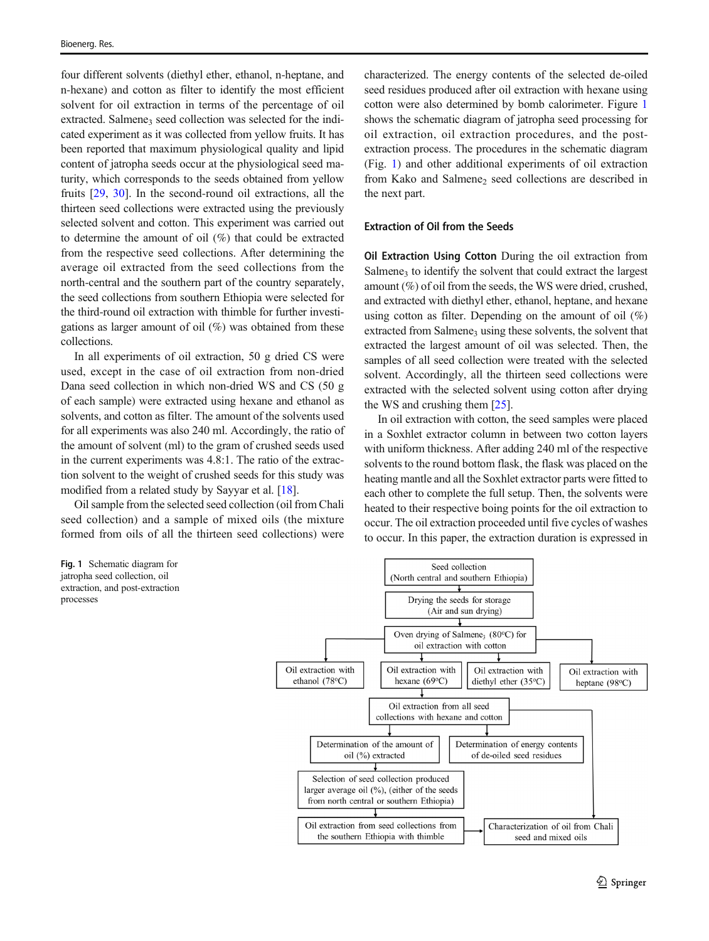four different solvents (diethyl ether, ethanol, n-heptane, and n-hexane) and cotton as filter to identify the most efficient solvent for oil extraction in terms of the percentage of oil extracted. Salmene<sub>3</sub> seed collection was selected for the indicated experiment as it was collected from yellow fruits. It has been reported that maximum physiological quality and lipid content of jatropha seeds occur at the physiological seed maturity, which corresponds to the seeds obtained from yellow fruits [[29,](#page-14-0) [30\]](#page-14-0). In the second-round oil extractions, all the thirteen seed collections were extracted using the previously selected solvent and cotton. This experiment was carried out to determine the amount of oil (%) that could be extracted from the respective seed collections. After determining the average oil extracted from the seed collections from the north-central and the southern part of the country separately, the seed collections from southern Ethiopia were selected for the third-round oil extraction with thimble for further investigations as larger amount of oil  $(\%)$  was obtained from these collections.

In all experiments of oil extraction, 50 g dried CS were used, except in the case of oil extraction from non-dried Dana seed collection in which non-dried WS and CS (50 g of each sample) were extracted using hexane and ethanol as solvents, and cotton as filter. The amount of the solvents used for all experiments was also 240 ml. Accordingly, the ratio of the amount of solvent (ml) to the gram of crushed seeds used in the current experiments was 4.8:1. The ratio of the extraction solvent to the weight of crushed seeds for this study was modified from a related study by Sayyar et al. [\[18\]](#page-14-0).

Oil sample from the selected seed collection (oil from Chali seed collection) and a sample of mixed oils (the mixture formed from oils of all the thirteen seed collections) were

characterized. The energy contents of the selected de-oiled seed residues produced after oil extraction with hexane using cotton were also determined by bomb calorimeter. Figure 1 shows the schematic diagram of jatropha seed processing for oil extraction, oil extraction procedures, and the postextraction process. The procedures in the schematic diagram (Fig. 1) and other additional experiments of oil extraction from Kako and Salmene<sub>2</sub> seed collections are described in the next part.

## Extraction of Oil from the Seeds

Oil Extraction Using Cotton During the oil extraction from Salmene<sub>3</sub> to identify the solvent that could extract the largest amount (%) of oil from the seeds, the WS were dried, crushed, and extracted with diethyl ether, ethanol, heptane, and hexane using cotton as filter. Depending on the amount of oil (%) extracted from Salmene<sub>3</sub> using these solvents, the solvent that extracted the largest amount of oil was selected. Then, the samples of all seed collection were treated with the selected solvent. Accordingly, all the thirteen seed collections were extracted with the selected solvent using cotton after drying the WS and crushing them [[25\]](#page-14-0).

In oil extraction with cotton, the seed samples were placed in a Soxhlet extractor column in between two cotton layers with uniform thickness. After adding 240 ml of the respective solvents to the round bottom flask, the flask was placed on the heating mantle and all the Soxhlet extractor parts were fitted to each other to complete the full setup. Then, the solvents were heated to their respective boing points for the oil extraction to occur. The oil extraction proceeded until five cycles of washes to occur. In this paper, the extraction duration is expressed in



Fig. 1 Schematic diagram for jatropha seed collection, oil extraction, and post-extraction processes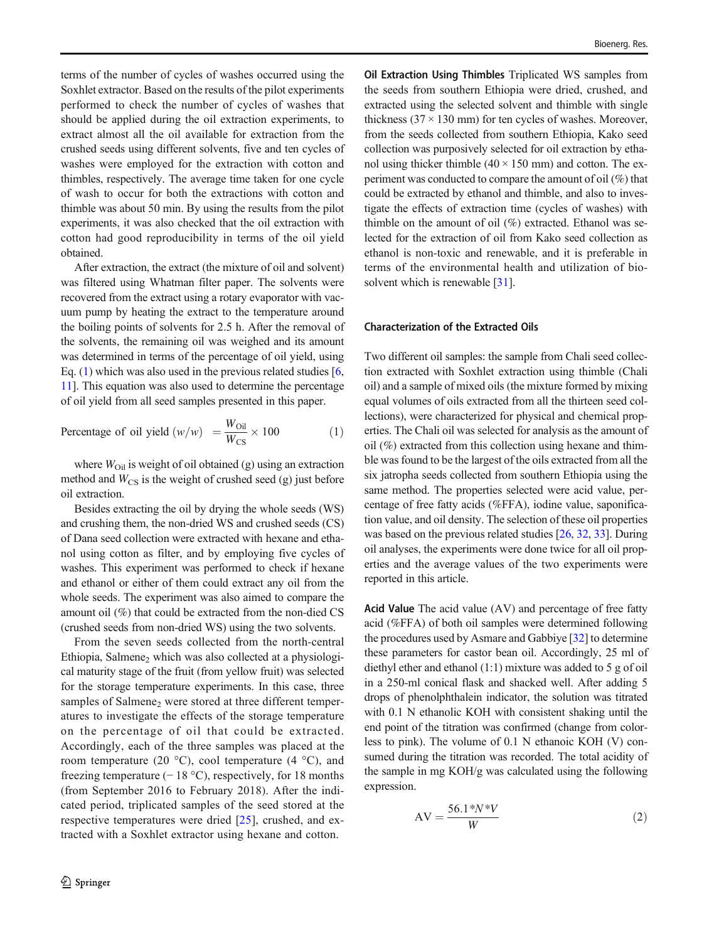terms of the number of cycles of washes occurred using the Soxhlet extractor. Based on the results of the pilot experiments performed to check the number of cycles of washes that should be applied during the oil extraction experiments, to extract almost all the oil available for extraction from the crushed seeds using different solvents, five and ten cycles of washes were employed for the extraction with cotton and thimbles, respectively. The average time taken for one cycle of wash to occur for both the extractions with cotton and thimble was about 50 min. By using the results from the pilot experiments, it was also checked that the oil extraction with cotton had good reproducibility in terms of the oil yield obtained.

After extraction, the extract (the mixture of oil and solvent) was filtered using Whatman filter paper. The solvents were recovered from the extract using a rotary evaporator with vacuum pump by heating the extract to the temperature around the boiling points of solvents for 2.5 h. After the removal of the solvents, the remaining oil was weighed and its amount was determined in terms of the percentage of oil yield, using Eq. (1) which was also used in the previous related studies  $[6, 6]$  $[6, 6]$  $[6, 6]$ [11\]](#page-14-0). This equation was also used to determine the percentage of oil yield from all seed samples presented in this paper.

Percentage of oil yield 
$$
(w/w) = \frac{W_{\text{Oil}}}{W_{\text{CS}}} \times 100
$$
 (1)

where  $W<sub>Oil</sub>$  is weight of oil obtained (g) using an extraction method and  $W_{\text{CS}}$  is the weight of crushed seed (g) just before oil extraction.

Besides extracting the oil by drying the whole seeds (WS) and crushing them, the non-dried WS and crushed seeds (CS) of Dana seed collection were extracted with hexane and ethanol using cotton as filter, and by employing five cycles of washes. This experiment was performed to check if hexane and ethanol or either of them could extract any oil from the whole seeds. The experiment was also aimed to compare the amount oil (%) that could be extracted from the non-died CS (crushed seeds from non-dried WS) using the two solvents.

From the seven seeds collected from the north-central Ethiopia, Salmene, which was also collected at a physiological maturity stage of the fruit (from yellow fruit) was selected for the storage temperature experiments. In this case, three samples of Salmene<sub>2</sub> were stored at three different temperatures to investigate the effects of the storage temperature on the percentage of oil that could be extracted. Accordingly, each of the three samples was placed at the room temperature (20  $^{\circ}$ C), cool temperature (4  $^{\circ}$ C), and freezing temperature  $(-18 \degree C)$ , respectively, for 18 months (from September 2016 to February 2018). After the indicated period, triplicated samples of the seed stored at the respective temperatures were dried [\[25](#page-14-0)], crushed, and extracted with a Soxhlet extractor using hexane and cotton.

Oil Extraction Using Thimbles Triplicated WS samples from the seeds from southern Ethiopia were dried, crushed, and extracted using the selected solvent and thimble with single thickness  $(37 \times 130 \text{ mm})$  for ten cycles of washes. Moreover, from the seeds collected from southern Ethiopia, Kako seed collection was purposively selected for oil extraction by ethanol using thicker thimble  $(40 \times 150 \text{ mm})$  and cotton. The experiment was conducted to compare the amount of oil (%) that could be extracted by ethanol and thimble, and also to investigate the effects of extraction time (cycles of washes) with thimble on the amount of oil (%) extracted. Ethanol was selected for the extraction of oil from Kako seed collection as ethanol is non-toxic and renewable, and it is preferable in terms of the environmental health and utilization of bio-solvent which is renewable [[31](#page-15-0)].

#### Characterization of the Extracted Oils

Two different oil samples: the sample from Chali seed collection extracted with Soxhlet extraction using thimble (Chali oil) and a sample of mixed oils (the mixture formed by mixing equal volumes of oils extracted from all the thirteen seed collections), were characterized for physical and chemical properties. The Chali oil was selected for analysis as the amount of oil (%) extracted from this collection using hexane and thimble was found to be the largest of the oils extracted from all the six jatropha seeds collected from southern Ethiopia using the same method. The properties selected were acid value, percentage of free fatty acids (%FFA), iodine value, saponification value, and oil density. The selection of these oil properties was based on the previous related studies [\[26,](#page-14-0) [32](#page-15-0), [33\]](#page-15-0). During oil analyses, the experiments were done twice for all oil properties and the average values of the two experiments were reported in this article.

Acid Value The acid value (AV) and percentage of free fatty acid (%FFA) of both oil samples were determined following the procedures used by Asmare and Gabbiye [\[32](#page-15-0)] to determine these parameters for castor bean oil. Accordingly, 25 ml of diethyl ether and ethanol (1:1) mixture was added to 5 g of oil in a 250-ml conical flask and shacked well. After adding 5 drops of phenolphthalein indicator, the solution was titrated with 0.1 N ethanolic KOH with consistent shaking until the end point of the titration was confirmed (change from colorless to pink). The volume of 0.1 N ethanoic KOH (V) consumed during the titration was recorded. The total acidity of the sample in mg KOH/g was calculated using the following expression.

$$
AV = \frac{56.1 \cdot N \cdot V}{W} \tag{2}
$$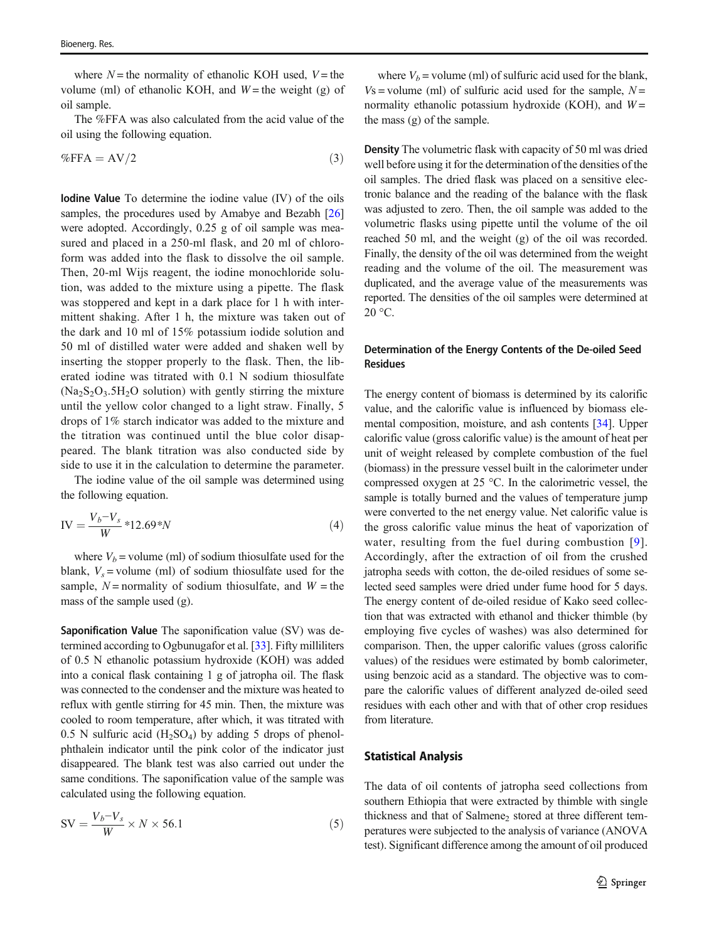where  $N =$  the normality of ethanolic KOH used,  $V =$  the volume (ml) of ethanolic KOH, and  $W =$  the weight (g) of oil sample.

The %FFA was also calculated from the acid value of the oil using the following equation.

$$
\% \text{FFA} = \text{AV}/2 \tag{3}
$$

Iodine Value To determine the iodine value (IV) of the oils samples, the procedures used by Amabye and Bezabh [\[26\]](#page-14-0) were adopted. Accordingly, 0.25 g of oil sample was measured and placed in a 250-ml flask, and 20 ml of chloroform was added into the flask to dissolve the oil sample. Then, 20-ml Wijs reagent, the iodine monochloride solution, was added to the mixture using a pipette. The flask was stoppered and kept in a dark place for 1 h with intermittent shaking. After 1 h, the mixture was taken out of the dark and 10 ml of 15% potassium iodide solution and 50 ml of distilled water were added and shaken well by inserting the stopper properly to the flask. Then, the liberated iodine was titrated with 0.1 N sodium thiosulfate  $(Na_2S_2O_3.5H_2O_3)$  solution) with gently stirring the mixture until the yellow color changed to a light straw. Finally, 5 drops of 1% starch indicator was added to the mixture and the titration was continued until the blue color disappeared. The blank titration was also conducted side by side to use it in the calculation to determine the parameter.

The iodine value of the oil sample was determined using the following equation.

$$
IV = \frac{V_b - V_s}{W} * 12.69 * N \tag{4}
$$

where  $V_b$  = volume (ml) of sodium thiosulfate used for the blank,  $V_s$  = volume (ml) of sodium thiosulfate used for the sample,  $N =$  normality of sodium thiosulfate, and  $W =$  the mass of the sample used (g).

Saponification Value The saponification value (SV) was determined according to Ogbunugafor et al. [\[33\]](#page-15-0). Fifty milliliters of 0.5 N ethanolic potassium hydroxide (KOH) was added into a conical flask containing 1 g of jatropha oil. The flask was connected to the condenser and the mixture was heated to reflux with gentle stirring for 45 min. Then, the mixture was cooled to room temperature, after which, it was titrated with  $0.5$  N sulfuric acid  $(H<sub>2</sub>SO<sub>4</sub>)$  by adding 5 drops of phenolphthalein indicator until the pink color of the indicator just disappeared. The blank test was also carried out under the same conditions. The saponification value of the sample was calculated using the following equation.

$$
SV = \frac{V_b - V_s}{W} \times N \times 56.1\tag{5}
$$

where  $V_b$  = volume (ml) of sulfuric acid used for the blank.  $Vs = volume$  (ml) of sulfuric acid used for the sample,  $N =$ normality ethanolic potassium hydroxide (KOH), and  $W =$ the mass (g) of the sample.

Density The volumetric flask with capacity of 50 ml was dried well before using it for the determination of the densities of the oil samples. The dried flask was placed on a sensitive electronic balance and the reading of the balance with the flask was adjusted to zero. Then, the oil sample was added to the volumetric flasks using pipette until the volume of the oil reached 50 ml, and the weight (g) of the oil was recorded. Finally, the density of the oil was determined from the weight reading and the volume of the oil. The measurement was duplicated, and the average value of the measurements was reported. The densities of the oil samples were determined at  $20 °C$ .

## Determination of the Energy Contents of the De-oiled Seed Residues

The energy content of biomass is determined by its calorific value, and the calorific value is influenced by biomass elemental composition, moisture, and ash contents [\[34](#page-15-0)]. Upper calorific value (gross calorific value) is the amount of heat per unit of weight released by complete combustion of the fuel (biomass) in the pressure vessel built in the calorimeter under compressed oxygen at 25 °C. In the calorimetric vessel, the sample is totally burned and the values of temperature jump were converted to the net energy value. Net calorific value is the gross calorific value minus the heat of vaporization of water, resulting from the fuel during combustion [[9](#page-14-0)]. Accordingly, after the extraction of oil from the crushed jatropha seeds with cotton, the de-oiled residues of some selected seed samples were dried under fume hood for 5 days. The energy content of de-oiled residue of Kako seed collection that was extracted with ethanol and thicker thimble (by employing five cycles of washes) was also determined for comparison. Then, the upper calorific values (gross calorific values) of the residues were estimated by bomb calorimeter, using benzoic acid as a standard. The objective was to compare the calorific values of different analyzed de-oiled seed residues with each other and with that of other crop residues from literature.

#### Statistical Analysis

The data of oil contents of jatropha seed collections from southern Ethiopia that were extracted by thimble with single thickness and that of Salmene<sub>2</sub> stored at three different temperatures were subjected to the analysis of variance (ANOVA test). Significant difference among the amount of oil produced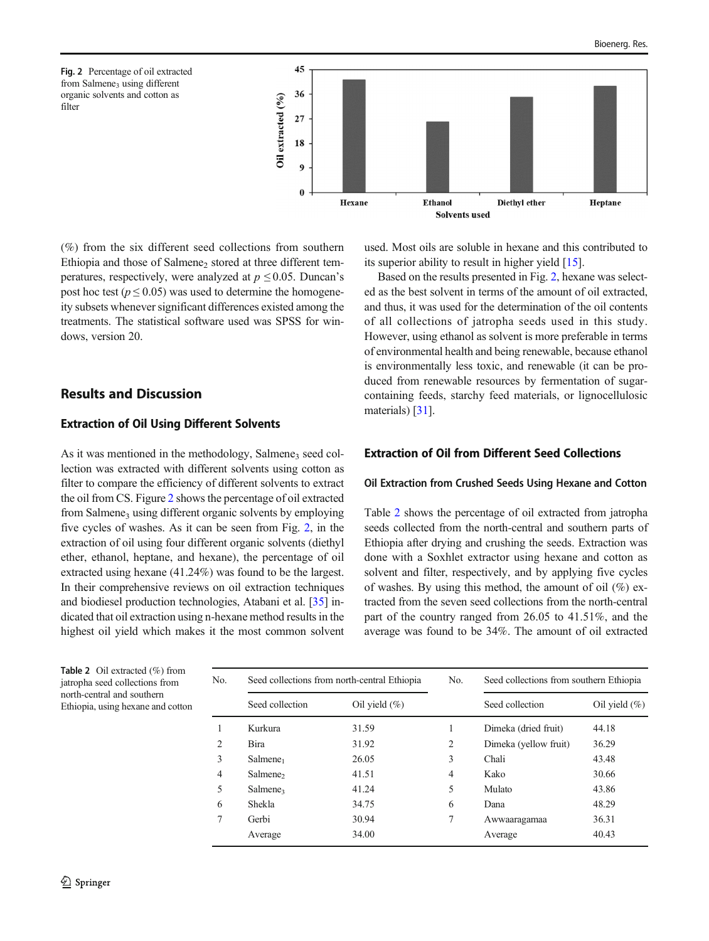<span id="page-7-0"></span>Fig. 2 Percentage of oil extracted from Salmene<sub>3</sub> using different organic solvents and cotton as filter



(%) from the six different seed collections from southern Ethiopia and those of Salmene<sub>2</sub> stored at three different temperatures, respectively, were analyzed at  $p \le 0.05$ . Duncan's post hoc test ( $p \le 0.05$ ) was used to determine the homogeneity subsets whenever significant differences existed among the treatments. The statistical software used was SPSS for windows, version 20.

# Results and Discussion

#### Extraction of Oil Using Different Solvents

As it was mentioned in the methodology, Salmene<sub>3</sub> seed collection was extracted with different solvents using cotton as filter to compare the efficiency of different solvents to extract the oil from CS. Figure 2 shows the percentage of oil extracted from Salmene<sub>3</sub> using different organic solvents by employing five cycles of washes. As it can be seen from Fig. 2, in the extraction of oil using four different organic solvents (diethyl ether, ethanol, heptane, and hexane), the percentage of oil extracted using hexane (41.24%) was found to be the largest. In their comprehensive reviews on oil extraction techniques and biodiesel production technologies, Atabani et al. [[35](#page-15-0)] indicated that oil extraction using n-hexane method results in the highest oil yield which makes it the most common solvent used. Most oils are soluble in hexane and this contributed to its superior ability to result in higher yield [[15\]](#page-14-0).

Based on the results presented in Fig. 2, hexane was selected as the best solvent in terms of the amount of oil extracted, and thus, it was used for the determination of the oil contents of all collections of jatropha seeds used in this study. However, using ethanol as solvent is more preferable in terms of environmental health and being renewable, because ethanol is environmentally less toxic, and renewable (it can be produced from renewable resources by fermentation of sugarcontaining feeds, starchy feed materials, or lignocellulosic materials) [\[31\]](#page-15-0).

## Extraction of Oil from Different Seed Collections

#### Oil Extraction from Crushed Seeds Using Hexane and Cotton

Table 2 shows the percentage of oil extracted from jatropha seeds collected from the north-central and southern parts of Ethiopia after drying and crushing the seeds. Extraction was done with a Soxhlet extractor using hexane and cotton as solvent and filter, respectively, and by applying five cycles of washes. By using this method, the amount of oil  $(\%)$  extracted from the seven seed collections from the north-central part of the country ranged from 26.05 to 41.51%, and the average was found to be 34%. The amount of oil extracted

| No. | Seed collections from north-central Ethiopia |                  | No.            | Seed collections from southern Ethiopia |                  |
|-----|----------------------------------------------|------------------|----------------|-----------------------------------------|------------------|
|     | Seed collection                              | Oil yield $(\%)$ |                | Seed collection                         | Oil yield $(\%)$ |
|     | Kurkura                                      | 31.59            |                | Dimeka (dried fruit)                    | 44.18            |
| 2   | <b>Bira</b>                                  | 31.92            | $\overline{c}$ | Dimeka (yellow fruit)                   | 36.29            |
| 3   | Salmene <sub>1</sub>                         | 26.05            | 3              | Chali                                   | 43.48            |
| 4   | Salmene <sub>2</sub>                         | 41.51            | 4              | Kako                                    | 30.66            |
| 5   | Salmene <sub>3</sub>                         | 41.24            | 5              | Mulato                                  | 43.86            |
| 6   | Shekla                                       | 34.75            | 6              | Dana                                    | 48.29            |
|     | Gerbi                                        | 30.94            | 7              | Awwaaragamaa                            | 36.31            |
|     | Average                                      | 34.00            |                | Average                                 | 40.43            |

Table 2 Oil extracted (%) from jatropha seed collections from north-central and southern Ethiopia, using hexane and cotton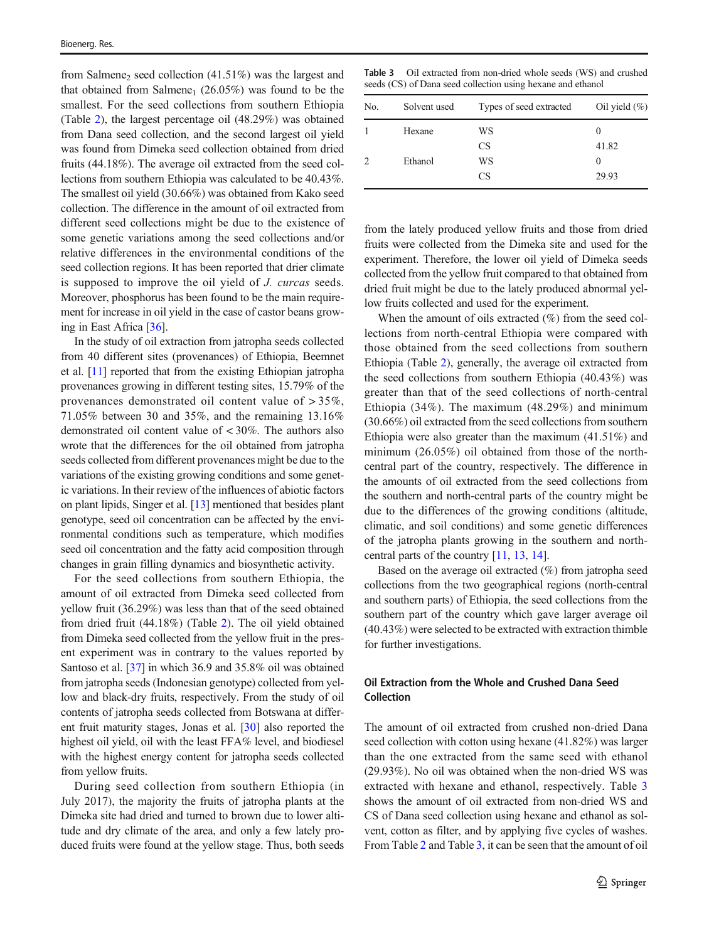from Salmene, seed collection  $(41.51\%)$  was the largest and that obtained from Salmene<sub>1</sub> (26.05%) was found to be the smallest. For the seed collections from southern Ethiopia (Table [2\)](#page-7-0), the largest percentage oil (48.29%) was obtained from Dana seed collection, and the second largest oil yield was found from Dimeka seed collection obtained from dried fruits (44.18%). The average oil extracted from the seed collections from southern Ethiopia was calculated to be 40.43%. The smallest oil yield (30.66%) was obtained from Kako seed collection. The difference in the amount of oil extracted from different seed collections might be due to the existence of some genetic variations among the seed collections and/or relative differences in the environmental conditions of the seed collection regions. It has been reported that drier climate is supposed to improve the oil yield of J. curcas seeds. Moreover, phosphorus has been found to be the main requirement for increase in oil yield in the case of castor beans growing in East Africa [[36\]](#page-15-0).

In the study of oil extraction from jatropha seeds collected from 40 different sites (provenances) of Ethiopia, Beemnet et al. [[11\]](#page-14-0) reported that from the existing Ethiopian jatropha provenances growing in different testing sites, 15.79% of the provenances demonstrated oil content value of > 35%, 71.05% between 30 and 35%, and the remaining 13.16% demonstrated oil content value of < 30%. The authors also wrote that the differences for the oil obtained from jatropha seeds collected from different provenances might be due to the variations of the existing growing conditions and some genetic variations. In their review of the influences of abiotic factors on plant lipids, Singer et al. [\[13\]](#page-14-0) mentioned that besides plant genotype, seed oil concentration can be affected by the environmental conditions such as temperature, which modifies seed oil concentration and the fatty acid composition through changes in grain filling dynamics and biosynthetic activity.

For the seed collections from southern Ethiopia, the amount of oil extracted from Dimeka seed collected from yellow fruit (36.29%) was less than that of the seed obtained from dried fruit (44.18%) (Table [2\)](#page-7-0). The oil yield obtained from Dimeka seed collected from the yellow fruit in the present experiment was in contrary to the values reported by Santoso et al. [[37\]](#page-15-0) in which 36.9 and 35.8% oil was obtained from jatropha seeds (Indonesian genotype) collected from yellow and black-dry fruits, respectively. From the study of oil contents of jatropha seeds collected from Botswana at different fruit maturity stages, Jonas et al. [\[30](#page-14-0)] also reported the highest oil yield, oil with the least FFA% level, and biodiesel with the highest energy content for jatropha seeds collected from yellow fruits.

During seed collection from southern Ethiopia (in July 2017), the majority the fruits of jatropha plants at the Dimeka site had dried and turned to brown due to lower altitude and dry climate of the area, and only a few lately produced fruits were found at the yellow stage. Thus, both seeds

Table 3 Oil extracted from non-dried whole seeds (WS) and crushed seeds (CS) of Dana seed collection using hexane and ethanol

| No. | Solvent used | Types of seed extracted | Oil yield $(\%)$ |
|-----|--------------|-------------------------|------------------|
|     | Hexane       | WS                      | $_{0}$           |
|     |              | <b>CS</b>               | 41.82            |
|     | Ethanol      | WS                      | $_{0}$           |
|     |              | <b>CS</b>               | 29.93            |

from the lately produced yellow fruits and those from dried fruits were collected from the Dimeka site and used for the experiment. Therefore, the lower oil yield of Dimeka seeds collected from the yellow fruit compared to that obtained from dried fruit might be due to the lately produced abnormal yellow fruits collected and used for the experiment.

When the amount of oils extracted (%) from the seed collections from north-central Ethiopia were compared with those obtained from the seed collections from southern Ethiopia (Table [2](#page-7-0)), generally, the average oil extracted from the seed collections from southern Ethiopia (40.43%) was greater than that of the seed collections of north-central Ethiopia (34%). The maximum (48.29%) and minimum (30.66%) oil extracted from the seed collections from southern Ethiopia were also greater than the maximum (41.51%) and minimum (26.05%) oil obtained from those of the northcentral part of the country, respectively. The difference in the amounts of oil extracted from the seed collections from the southern and north-central parts of the country might be due to the differences of the growing conditions (altitude, climatic, and soil conditions) and some genetic differences of the jatropha plants growing in the southern and northcentral parts of the country [[11,](#page-14-0) [13](#page-14-0), [14](#page-14-0)].

Based on the average oil extracted (%) from jatropha seed collections from the two geographical regions (north-central and southern parts) of Ethiopia, the seed collections from the southern part of the country which gave larger average oil (40.43%) were selected to be extracted with extraction thimble for further investigations.

#### Oil Extraction from the Whole and Crushed Dana Seed Collection

The amount of oil extracted from crushed non-dried Dana seed collection with cotton using hexane (41.82%) was larger than the one extracted from the same seed with ethanol (29.93%). No oil was obtained when the non-dried WS was extracted with hexane and ethanol, respectively. Table 3 shows the amount of oil extracted from non-dried WS and CS of Dana seed collection using hexane and ethanol as solvent, cotton as filter, and by applying five cycles of washes. From Table [2](#page-7-0) and Table 3, it can be seen that the amount of oil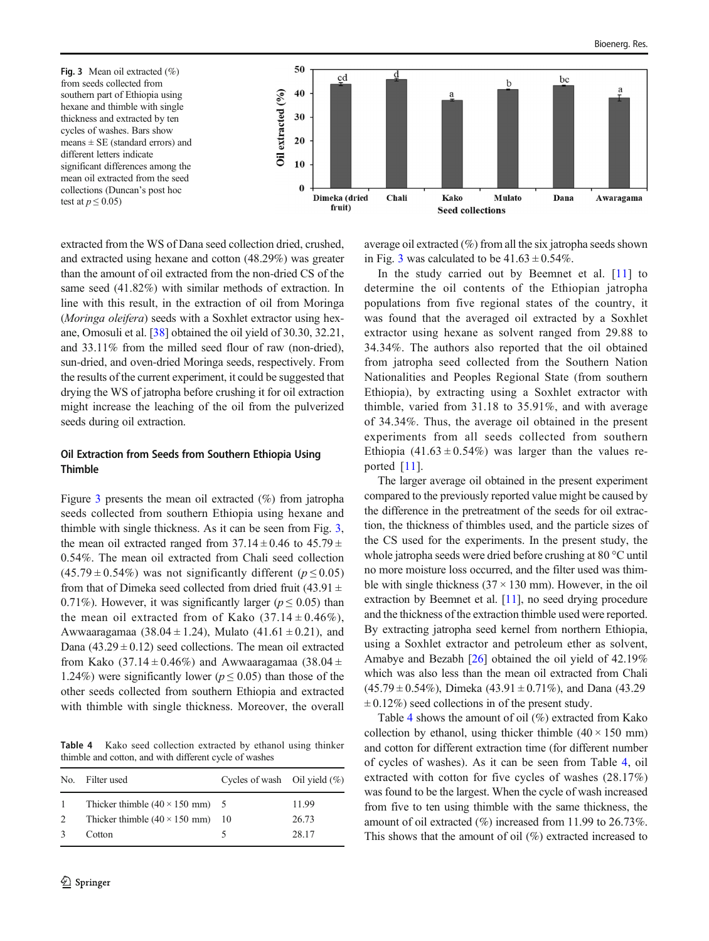<span id="page-9-0"></span>

extracted from the WS of Dana seed collection dried, crushed, and extracted using hexane and cotton (48.29%) was greater than the amount of oil extracted from the non-dried CS of the same seed (41.82%) with similar methods of extraction. In line with this result, in the extraction of oil from Moringa (Moringa oleifera) seeds with a Soxhlet extractor using hexane, Omosuli et al. [[38\]](#page-15-0) obtained the oil yield of 30.30, 32.21, and 33.11% from the milled seed flour of raw (non-dried), sun-dried, and oven-dried Moringa seeds, respectively. From the results of the current experiment, it could be suggested that drying the WS of jatropha before crushing it for oil extraction might increase the leaching of the oil from the pulverized seeds during oil extraction.

## Oil Extraction from Seeds from Southern Ethiopia Using Thimble

Figure 3 presents the mean oil extracted (%) from jatropha seeds collected from southern Ethiopia using hexane and thimble with single thickness. As it can be seen from Fig. 3, the mean oil extracted ranged from  $37.14 \pm 0.46$  to  $45.79 \pm$ 0.54%. The mean oil extracted from Chali seed collection  $(45.79 \pm 0.54\%)$  was not significantly different ( $p \le 0.05$ ) from that of Dimeka seed collected from dried fruit (43.91  $\pm$ 0.71%). However, it was significantly larger ( $p \le 0.05$ ) than the mean oil extracted from of Kako  $(37.14 \pm 0.46\%)$ , Awwaaragamaa (38.04 ± 1.24), Mulato (41.61 ± 0.21), and Dana  $(43.29 \pm 0.12)$  seed collections. The mean oil extracted from Kako (37.14  $\pm$  0.46%) and Awwaaragamaa (38.04  $\pm$ 1.24%) were significantly lower ( $p \le 0.05$ ) than those of the other seeds collected from southern Ethiopia and extracted with thimble with single thickness. Moreover, the overall

Table 4 Kako seed collection extracted by ethanol using thinker thimble and cotton, and with different cycle of washes

| No. | Filter used                                     | Cycles of wash Oil yield $(\%)$ |       |
|-----|-------------------------------------------------|---------------------------------|-------|
| -1  | Thicker thimble $(40 \times 150 \text{ mm})$ 5  |                                 | 11.99 |
| 2   | Thicker thimble $(40 \times 150 \text{ mm})$ 10 |                                 | 26.73 |
|     | Cotton                                          |                                 | 28.17 |

average oil extracted (%) from all the six jatropha seeds shown in Fig. 3 was calculated to be  $41.63 \pm 0.54\%$ .

In the study carried out by Beemnet et al. [\[11\]](#page-14-0) to determine the oil contents of the Ethiopian jatropha populations from five regional states of the country, it was found that the averaged oil extracted by a Soxhlet extractor using hexane as solvent ranged from 29.88 to 34.34%. The authors also reported that the oil obtained from jatropha seed collected from the Southern Nation Nationalities and Peoples Regional State (from southern Ethiopia), by extracting using a Soxhlet extractor with thimble, varied from 31.18 to 35.91%, and with average of 34.34%. Thus, the average oil obtained in the present experiments from all seeds collected from southern Ethiopia  $(41.63 \pm 0.54\%)$  was larger than the values reported [[11\]](#page-14-0).

The larger average oil obtained in the present experiment compared to the previously reported value might be caused by the difference in the pretreatment of the seeds for oil extraction, the thickness of thimbles used, and the particle sizes of the CS used for the experiments. In the present study, the whole jatropha seeds were dried before crushing at 80 °C until no more moisture loss occurred, and the filter used was thimble with single thickness  $(37 \times 130 \text{ mm})$ . However, in the oil extraction by Beemnet et al. [[11](#page-14-0)], no seed drying procedure and the thickness of the extraction thimble used were reported. By extracting jatropha seed kernel from northern Ethiopia, using a Soxhlet extractor and petroleum ether as solvent, Amabye and Bezabh [[26](#page-14-0)] obtained the oil yield of 42.19% which was also less than the mean oil extracted from Chali  $(45.79 \pm 0.54\%)$ , Dimeka  $(43.91 \pm 0.71\%)$ , and Dana  $(43.29)$  $\pm 0.12\%$ ) seed collections in of the present study.

Table 4 shows the amount of oil  $(\%)$  extracted from Kako collection by ethanol, using thicker thimble  $(40 \times 150 \text{ mm})$ and cotton for different extraction time (for different number of cycles of washes). As it can be seen from Table 4, oil extracted with cotton for five cycles of washes (28.17%) was found to be the largest. When the cycle of wash increased from five to ten using thimble with the same thickness, the amount of oil extracted (%) increased from 11.99 to 26.73%. This shows that the amount of oil (%) extracted increased to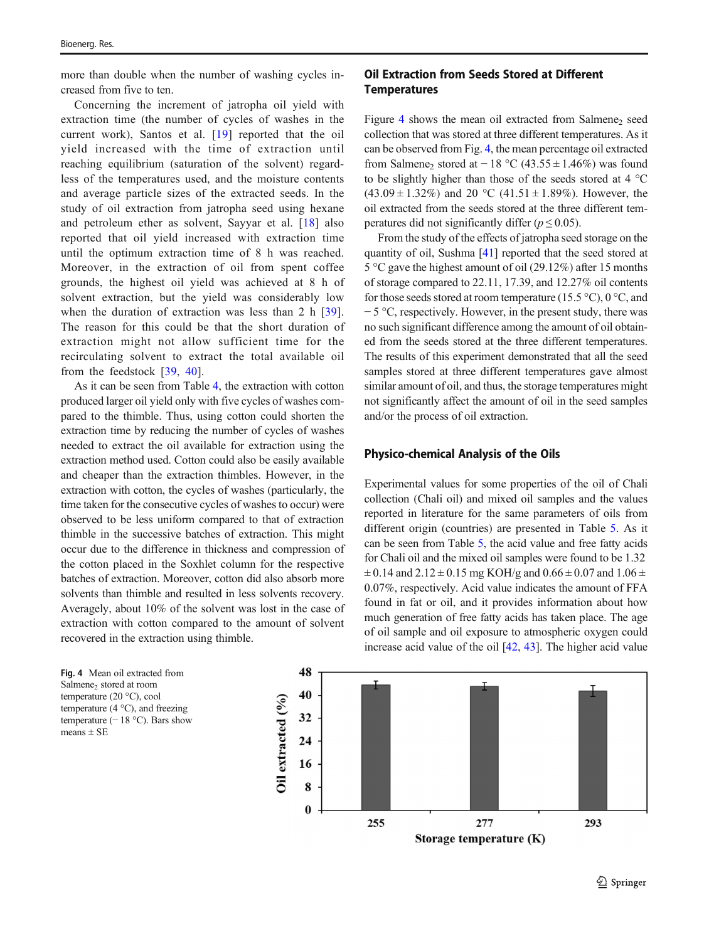more than double when the number of washing cycles increased from five to ten.

Concerning the increment of jatropha oil yield with extraction time (the number of cycles of washes in the current work), Santos et al. [[19\]](#page-14-0) reported that the oil yield increased with the time of extraction until reaching equilibrium (saturation of the solvent) regardless of the temperatures used, and the moisture contents and average particle sizes of the extracted seeds. In the study of oil extraction from jatropha seed using hexane and petroleum ether as solvent, Sayyar et al. [[18\]](#page-14-0) also reported that oil yield increased with extraction time until the optimum extraction time of 8 h was reached. Moreover, in the extraction of oil from spent coffee grounds, the highest oil yield was achieved at 8 h of solvent extraction, but the yield was considerably low when the duration of extraction was less than 2 h [\[39](#page-15-0)]. The reason for this could be that the short duration of extraction might not allow sufficient time for the recirculating solvent to extract the total available oil from the feedstock [\[39,](#page-15-0) [40\]](#page-15-0).

As it can be seen from Table [4,](#page-9-0) the extraction with cotton produced larger oil yield only with five cycles of washes compared to the thimble. Thus, using cotton could shorten the extraction time by reducing the number of cycles of washes needed to extract the oil available for extraction using the extraction method used. Cotton could also be easily available and cheaper than the extraction thimbles. However, in the extraction with cotton, the cycles of washes (particularly, the time taken for the consecutive cycles of washes to occur) were observed to be less uniform compared to that of extraction thimble in the successive batches of extraction. This might occur due to the difference in thickness and compression of the cotton placed in the Soxhlet column for the respective batches of extraction. Moreover, cotton did also absorb more solvents than thimble and resulted in less solvents recovery. Averagely, about 10% of the solvent was lost in the case of extraction with cotton compared to the amount of solvent recovered in the extraction using thimble.

Fig. 4 Mean oil extracted from Salmene<sub>2</sub> stored at room temperature (20 °C), cool temperature (4 °C), and freezing temperature  $(-18 \degree C)$ . Bars show means  $\pm$  SE

## Oil Extraction from Seeds Stored at Different **Temperatures**

Figure 4 shows the mean oil extracted from Salmene<sub>2</sub> seed collection that was stored at three different temperatures. As it can be observed from Fig. 4, the mean percentage oil extracted from Salmene<sub>2</sub> stored at −18 °C (43.55 ± 1.46%) was found to be slightly higher than those of the seeds stored at 4 °C  $(43.09 \pm 1.32\%)$  and 20 °C  $(41.51 \pm 1.89\%)$ . However, the oil extracted from the seeds stored at the three different temperatures did not significantly differ ( $p \le 0.05$ ).

From the study of the effects of jatropha seed storage on the quantity of oil, Sushma [[41](#page-15-0)] reported that the seed stored at 5 °C gave the highest amount of oil (29.12%) after 15 months of storage compared to 22.11, 17.39, and 12.27% oil contents for those seeds stored at room temperature (15.5 °C), 0 °C, and − 5 °C, respectively. However, in the present study, there was no such significant difference among the amount of oil obtained from the seeds stored at the three different temperatures. The results of this experiment demonstrated that all the seed samples stored at three different temperatures gave almost similar amount of oil, and thus, the storage temperatures might not significantly affect the amount of oil in the seed samples and/or the process of oil extraction.

#### Physico-chemical Analysis of the Oils

Experimental values for some properties of the oil of Chali collection (Chali oil) and mixed oil samples and the values reported in literature for the same parameters of oils from different origin (countries) are presented in Table [5.](#page-11-0) As it can be seen from Table [5](#page-11-0), the acid value and free fatty acids for Chali oil and the mixed oil samples were found to be 1.32  $\pm$  0.14 and 2.12  $\pm$  0.15 mg KOH/g and 0.66  $\pm$  0.07 and 1.06  $\pm$ 0.07%, respectively. Acid value indicates the amount of FFA found in fat or oil, and it provides information about how much generation of free fatty acids has taken place. The age of oil sample and oil exposure to atmospheric oxygen could increase acid value of the oil [\[42](#page-15-0), [43](#page-15-0)]. The higher acid value

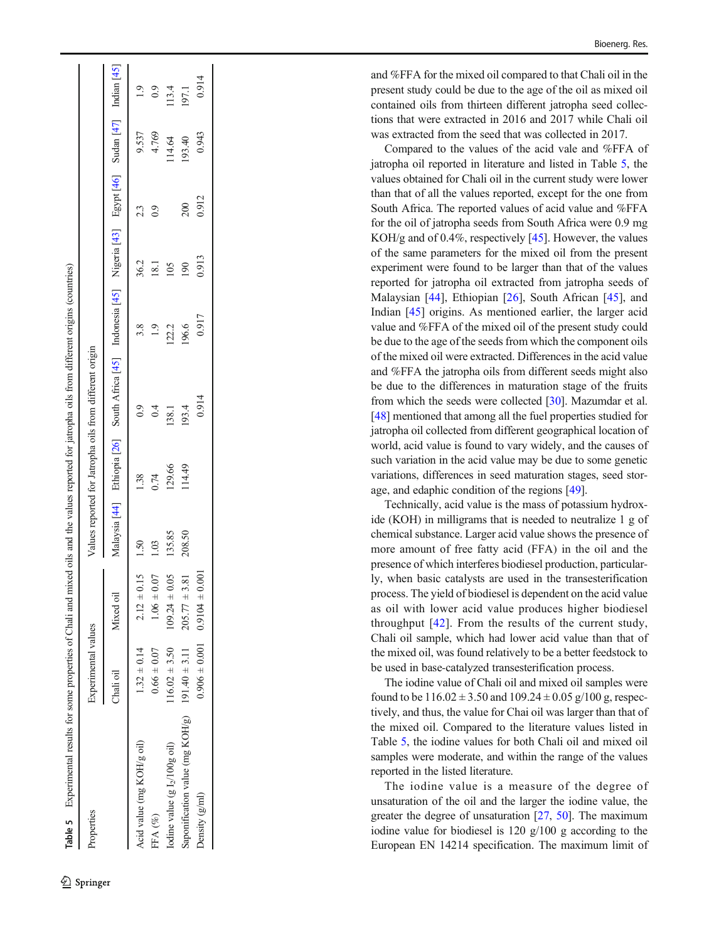<span id="page-11-0"></span>

| Properties                                        | Experimental values |                                      |        |        | Values reported for Jatropha oils from different origin                                                     |       |                 |                |        |               |
|---------------------------------------------------|---------------------|--------------------------------------|--------|--------|-------------------------------------------------------------------------------------------------------------|-------|-----------------|----------------|--------|---------------|
|                                                   | Chali oil           | Mixed oil                            |        |        | Malaysia [44] Ethiopia [26] South Africa [45] Indonesia [45] Nigeria [43] Egypt [46] Sudan [47] Indian [45] |       |                 |                |        |               |
| Acid value (mg KOH/g oil)                         | $1.32 \pm 0.14$     | $2.12 \pm 0.15$                      | 1.50   | 1.38   |                                                                                                             | 3.8   | 36.2            | 23             | 9.537  | $\frac{1}{2}$ |
| FFA (%)                                           | $0.66 \pm 0.07$     | $1.06 \pm 0.07$                      | 1.03   | 0.74   | 0.4                                                                                                         |       | $\frac{18}{18}$ | $\overline{0}$ | 4.769  | 0.9           |
| Iodine value (g $I_2/100g$ oil)                   | $116.02 \pm 3.50$   | 0.05<br>$109.24 \pm 0$               | 135.85 | 129.66 | 138.1                                                                                                       | 122.2 | $\frac{5}{2}$   |                | 114.64 | 13.4          |
| Saponification value (mg KOH/g) $191.40 \pm 3.11$ |                     | $205.77 \pm 3.81$                    | 208.50 | 114.49 | 193.4                                                                                                       | 196.6 | $\overline{0}0$ | 200            | 193.40 | 197.1         |
| Density (g/ml)                                    |                     | $0.906 \pm 0.001$ $0.9104 \pm 0.001$ |        |        | 0.914                                                                                                       | 0.917 | 0.913           | 0.912          | 0.943  | 0.914         |

and %FFA for the mixed oil compared to that Chali oil in the present study could be due to the age of the oil as mixed oil contained oils from thirteen different jatropha seed collections that were extracted in 2016 and 2017 while Chali oil was extracted from the seed that was collected in 2017.

Compared to the values of the acid vale and %FFA of jatropha oil reported in literature and listed in Table 5, the values obtained for Chali oil in the current study were lower than that of all the values reported, except for the one from South Africa. The reported values of acid value and %FFA for the oil of jatropha seeds from South Africa were 0.9 mg KOH/g and of 0.4%, respectively [\[45\]](#page-15-0). However, the values of the same parameters for the mixed oil from the present experiment were found to be larger than that of the values reported for jatropha oil extracted from jatropha seeds of Malaysian [\[44](#page-15-0)], Ethiopian [[26\]](#page-14-0), South African [\[45](#page-15-0)], and Indian [[45\]](#page-15-0) origins. As mentioned earlier, the larger acid value and %FFA of the mixed oil of the present study could be due to the age of the seeds from which the component oils of the mixed oil were extracted. Differences in the acid value and %FFA the jatropha oils from different seeds might also be due to the differences in maturation stage of the fruits from which the seeds were collected [[30](#page-14-0)]. Mazumdar et al. [[48\]](#page-15-0) mentioned that among all the fuel properties studied for jatropha oil collected from different geographical location of world, acid value is found to vary widely, and the causes of such variation in the acid value may be due to some genetic variations, differences in seed maturation stages, seed storage, and edaphic condition of the regions [\[49](#page-15-0)].

Technically, acid value is the mass of potassium hydroxide (KOH) in milligrams that is needed to neutralize 1 g of chemical substance. Larger acid value shows the presence of more amount of free fatty acid (FFA) in the oil and the presence of which interferes biodiesel production, particularly, when basic catalysts are used in the transesterification process. The yield of biodiesel is dependent on the acid value as oil with lower acid value produces higher biodiesel throughput  $[42]$  $[42]$  $[42]$ . From the results of the current study, Chali oil sample, which had lower acid value than that of the mixed oil, was found relatively to be a better feedstock to be used in base-catalyzed transesterification process.

The iodine value of Chali oil and mixed oil samples were found to be  $116.02 \pm 3.50$  and  $109.24 \pm 0.05$  g/100 g, respectively, and thus, the value for Chai oil was larger than that of the mixed oil. Compared to the literature values listed in Table 5, the iodine values for both Chali oil and mixed oil samples were moderate, and within the range of the values reported in the listed literature.

The iodine value is a measure of the degree of unsaturation of the oil and the larger the iodine value, the greater the degree of unsaturation [[27](#page-14-0) , [50](#page-15-0)]. The maximum iodine value for biodiesel is 120 g/100 g according to the European EN 14214 specification. The maximum limit of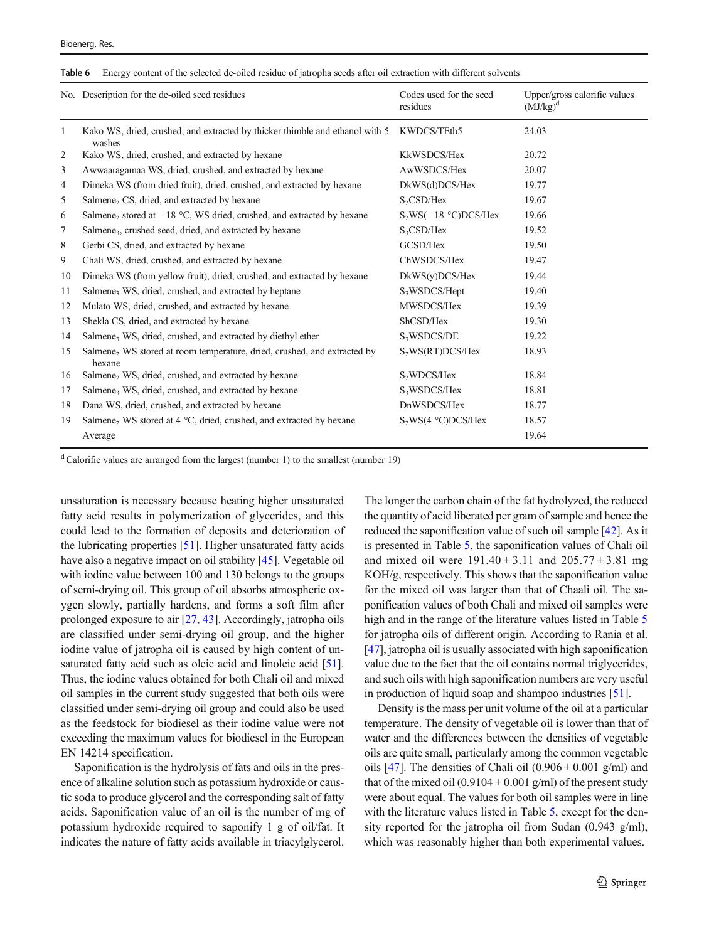<span id="page-12-0"></span>

|  |  | Table 6 Energy content of the selected de-oiled residue of jatropha seeds after oil extraction with different solvents |  |
|--|--|------------------------------------------------------------------------------------------------------------------------|--|
|--|--|------------------------------------------------------------------------------------------------------------------------|--|

|                | No. Description for the de-oiled seed residues                                                     | Codes used for the seed<br>residues | Upper/gross calorific values<br>$(MJ/kg)^d$ |
|----------------|----------------------------------------------------------------------------------------------------|-------------------------------------|---------------------------------------------|
| $\mathbf{1}$   | Kako WS, dried, crushed, and extracted by thicker thimble and ethanol with 5 KWDCS/TEth5<br>washes |                                     | 24.03                                       |
| 2              | Kako WS, dried, crushed, and extracted by hexane                                                   | KkWSDCS/Hex                         | 20.72                                       |
| 3              | Awwaaragamaa WS, dried, crushed, and extracted by hexane                                           | AwWSDCS/Hex                         | 20.07                                       |
| $\overline{4}$ | Dimeka WS (from dried fruit), dried, crushed, and extracted by hexane                              | DkWS(d)DCS/Hex                      | 19.77                                       |
| 5              | Salmene <sub>2</sub> CS, dried, and extracted by hexane                                            | S <sub>2</sub> CSD/Hex              | 19.67                                       |
| 6              | Salmene <sub>2</sub> stored at $-18$ °C, WS dried, crushed, and extracted by hexane                | $S_2WS(-18 °C)DCS/Hex$              | 19.66                                       |
| 7              | Salmene <sub>3</sub> , crushed seed, dried, and extracted by hexane                                | $S_3CSD/Hex$                        | 19.52                                       |
| 8              | Gerbi CS, dried, and extracted by hexane                                                           | GCSD/Hex                            | 19.50                                       |
| 9              | Chali WS, dried, crushed, and extracted by hexane                                                  | ChWSDCS/Hex                         | 19.47                                       |
| 10             | Dimeka WS (from yellow fruit), dried, crushed, and extracted by hexane                             | DkWS(y)DCS/Hex                      | 19.44                                       |
| 11             | Salmene, WS, dried, crushed, and extracted by heptane                                              | S <sub>3</sub> WSDCS/Hept           | 19.40                                       |
| 12             | Mulato WS, dried, crushed, and extracted by hexane                                                 | MWSDCS/Hex                          | 19.39                                       |
| 13             | Shekla CS, dried, and extracted by hexane                                                          | ShCSD/Hex                           | 19.30                                       |
| 14             | Salmene, WS, dried, crushed, and extracted by diethyl ether                                        | S <sub>3</sub> WSDCS/DE             | 19.22                                       |
| 15             | Salmene <sub>2</sub> WS stored at room temperature, dried, crushed, and extracted by<br>hexane     | S <sub>2</sub> WS(RT)DCS/Hex        | 18.93                                       |
| 16             | Salmene <sub>2</sub> WS, dried, crushed, and extracted by hexane                                   | S <sub>2</sub> WDCS/Hex             | 18.84                                       |
| 17             | Salmene, WS, dried, crushed, and extracted by hexane                                               | S <sub>3</sub> WSDCS/Hex            | 18.81                                       |
| 18             | Dana WS, dried, crushed, and extracted by hexane                                                   | DnWSDCS/Hex                         | 18.77                                       |
| 19             | Salmene, WS stored at 4 °C, dried, crushed, and extracted by hexane                                | $S_2WS(4 °C)DCS/Hex$                | 18.57                                       |
|                | Average                                                                                            |                                     | 19.64                                       |

 $d$ Calorific values are arranged from the largest (number 1) to the smallest (number 19)

unsaturation is necessary because heating higher unsaturated fatty acid results in polymerization of glycerides, and this could lead to the formation of deposits and deterioration of the lubricating properties [\[51\]](#page-15-0). Higher unsaturated fatty acids have also a negative impact on oil stability [\[45\]](#page-15-0). Vegetable oil with iodine value between 100 and 130 belongs to the groups of semi-drying oil. This group of oil absorbs atmospheric oxygen slowly, partially hardens, and forms a soft film after prolonged exposure to air [[27](#page-14-0), [43](#page-15-0)]. Accordingly, jatropha oils are classified under semi-drying oil group, and the higher iodine value of jatropha oil is caused by high content of un-saturated fatty acid such as oleic acid and linoleic acid [[51\]](#page-15-0). Thus, the iodine values obtained for both Chali oil and mixed oil samples in the current study suggested that both oils were classified under semi-drying oil group and could also be used as the feedstock for biodiesel as their iodine value were not exceeding the maximum values for biodiesel in the European EN 14214 specification.

Saponification is the hydrolysis of fats and oils in the presence of alkaline solution such as potassium hydroxide or caustic soda to produce glycerol and the corresponding salt of fatty acids. Saponification value of an oil is the number of mg of potassium hydroxide required to saponify 1 g of oil/fat. It indicates the nature of fatty acids available in triacylglycerol. The longer the carbon chain of the fat hydrolyzed, the reduced the quantity of acid liberated per gram of sample and hence the reduced the saponification value of such oil sample [\[42](#page-15-0)]. As it is presented in Table [5,](#page-11-0) the saponification values of Chali oil and mixed oil were  $191.40 \pm 3.11$  and  $205.77 \pm 3.81$  mg KOH/g, respectively. This shows that the saponification value for the mixed oil was larger than that of Chaali oil. The saponification values of both Chali and mixed oil samples were high and in the range of the literature values listed in Table [5](#page-11-0) for jatropha oils of different origin. According to Rania et al. [\[47](#page-15-0)], jatropha oil is usually associated with high saponification value due to the fact that the oil contains normal triglycerides, and such oils with high saponification numbers are very useful in production of liquid soap and shampoo industries [\[51\]](#page-15-0).

Density is the mass per unit volume of the oil at a particular temperature. The density of vegetable oil is lower than that of water and the differences between the densities of vegetable oils are quite small, particularly among the common vegetable oils [\[47\]](#page-15-0). The densities of Chali oil  $(0.906 \pm 0.001 \text{ g/ml})$  and that of the mixed oil  $(0.9104 \pm 0.001 \text{ g/ml})$  of the present study were about equal. The values for both oil samples were in line with the literature values listed in Table [5,](#page-11-0) except for the density reported for the jatropha oil from Sudan (0.943 g/ml), which was reasonably higher than both experimental values.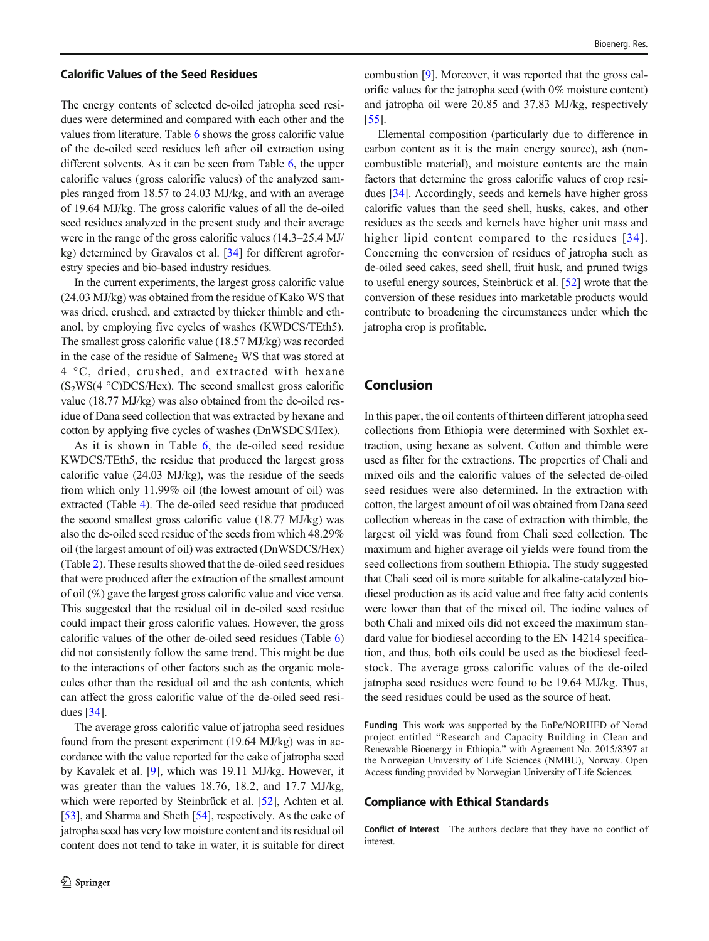#### Calorific Values of the Seed Residues

The energy contents of selected de-oiled jatropha seed residues were determined and compared with each other and the values from literature. Table [6](#page-12-0) shows the gross calorific value of the de-oiled seed residues left after oil extraction using different solvents. As it can be seen from Table [6,](#page-12-0) the upper calorific values (gross calorific values) of the analyzed samples ranged from 18.57 to 24.03 MJ/kg, and with an average of 19.64 MJ/kg. The gross calorific values of all the de-oiled seed residues analyzed in the present study and their average were in the range of the gross calorific values (14.3–25.4 MJ/ kg) determined by Gravalos et al. [[34\]](#page-15-0) for different agroforestry species and bio-based industry residues.

In the current experiments, the largest gross calorific value (24.03 MJ/kg) was obtained from the residue of Kako WS that was dried, crushed, and extracted by thicker thimble and ethanol, by employing five cycles of washes (KWDCS/TEth5). The smallest gross calorific value (18.57 MJ/kg) was recorded in the case of the residue of Salmene<sub>2</sub> WS that was stored at 4 °C, dried, crushed, and extracted with hexane  $(S_2WS(4 \text{ °C})DCS/Hex)$ . The second smallest gross calorific value (18.77 MJ/kg) was also obtained from the de-oiled residue of Dana seed collection that was extracted by hexane and cotton by applying five cycles of washes (DnWSDCS/Hex).

As it is shown in Table [6](#page-12-0), the de-oiled seed residue KWDCS/TEth5, the residue that produced the largest gross calorific value (24.03 MJ/kg), was the residue of the seeds from which only 11.99% oil (the lowest amount of oil) was extracted (Table [4\)](#page-9-0). The de-oiled seed residue that produced the second smallest gross calorific value (18.77 MJ/kg) was also the de-oiled seed residue of the seeds from which 48.29% oil (the largest amount of oil) was extracted (DnWSDCS/Hex) (Table [2](#page-7-0)). These results showed that the de-oiled seed residues that were produced after the extraction of the smallest amount of oil (%) gave the largest gross calorific value and vice versa. This suggested that the residual oil in de-oiled seed residue could impact their gross calorific values. However, the gross calorific values of the other de-oiled seed residues (Table [6\)](#page-12-0) did not consistently follow the same trend. This might be due to the interactions of other factors such as the organic molecules other than the residual oil and the ash contents, which can affect the gross calorific value of the de-oiled seed residues [[34](#page-15-0)].

The average gross calorific value of jatropha seed residues found from the present experiment (19.64 MJ/kg) was in accordance with the value reported for the cake of jatropha seed by Kavalek et al. [\[9](#page-14-0)], which was 19.11 MJ/kg. However, it was greater than the values 18.76, 18.2, and 17.7 MJ/kg, which were reported by Steinbrück et al. [[52](#page-15-0)], Achten et al. [\[53\]](#page-15-0), and Sharma and Sheth [\[54](#page-15-0)], respectively. As the cake of jatropha seed has very low moisture content and its residual oil content does not tend to take in water, it is suitable for direct

combustion [\[9](#page-14-0)]. Moreover, it was reported that the gross calorific values for the jatropha seed (with 0% moisture content) and jatropha oil were 20.85 and 37.83 MJ/kg, respectively [\[55](#page-15-0)].

Elemental composition (particularly due to difference in carbon content as it is the main energy source), ash (noncombustible material), and moisture contents are the main factors that determine the gross calorific values of crop residues [\[34\]](#page-15-0). Accordingly, seeds and kernels have higher gross calorific values than the seed shell, husks, cakes, and other residues as the seeds and kernels have higher unit mass and higher lipid content compared to the residues [[34\]](#page-15-0). Concerning the conversion of residues of jatropha such as de-oiled seed cakes, seed shell, fruit husk, and pruned twigs to useful energy sources, Steinbrück et al. [\[52\]](#page-15-0) wrote that the conversion of these residues into marketable products would contribute to broadening the circumstances under which the jatropha crop is profitable.

## Conclusion

In this paper, the oil contents of thirteen different jatropha seed collections from Ethiopia were determined with Soxhlet extraction, using hexane as solvent. Cotton and thimble were used as filter for the extractions. The properties of Chali and mixed oils and the calorific values of the selected de-oiled seed residues were also determined. In the extraction with cotton, the largest amount of oil was obtained from Dana seed collection whereas in the case of extraction with thimble, the largest oil yield was found from Chali seed collection. The maximum and higher average oil yields were found from the seed collections from southern Ethiopia. The study suggested that Chali seed oil is more suitable for alkaline-catalyzed biodiesel production as its acid value and free fatty acid contents were lower than that of the mixed oil. The iodine values of both Chali and mixed oils did not exceed the maximum standard value for biodiesel according to the EN 14214 specification, and thus, both oils could be used as the biodiesel feedstock. The average gross calorific values of the de-oiled jatropha seed residues were found to be 19.64 MJ/kg. Thus, the seed residues could be used as the source of heat.

Funding This work was supported by the EnPe/NORHED of Norad project entitled "Research and Capacity Building in Clean and Renewable Bioenergy in Ethiopia," with Agreement No. 2015/8397 at the Norwegian University of Life Sciences (NMBU), Norway. Open Access funding provided by Norwegian University of Life Sciences.

#### Compliance with Ethical Standards

Conflict of Interest The authors declare that they have no conflict of interest.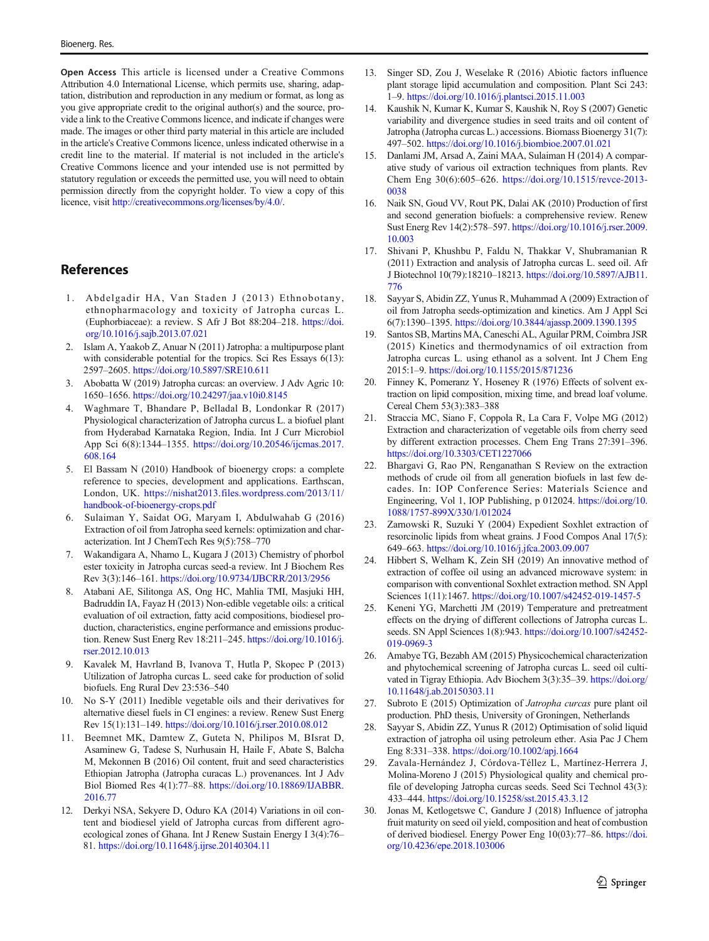<span id="page-14-0"></span>Open Access This article is licensed under a Creative Commons Attribution 4.0 International License, which permits use, sharing, adaptation, distribution and reproduction in any medium or format, as long as you give appropriate credit to the original author(s) and the source, provide a link to the Creative Commons licence, and indicate if changes were made. The images or other third party material in this article are included in the article's Creative Commons licence, unless indicated otherwise in a credit line to the material. If material is not included in the article's Creative Commons licence and your intended use is not permitted by statutory regulation or exceeds the permitted use, you will need to obtain permission directly from the copyright holder. To view a copy of this licence, visit [http://creativecommons.org/licenses/by/4.0/](https://doi.org/).

## References

- 1. Abdelgadir HA, Van Staden J (2013) Ethnobotany, ethnopharmacology and toxicity of Jatropha curcas L. (Euphorbiaceae): a review. S Afr J Bot 88:204–218. [https://doi.](https://doi.org/10.1016/j.sajb.2013.07.021) [org/10.1016/j.sajb.2013.07.021](https://doi.org/10.1016/j.sajb.2013.07.021)
- 2. Islam A, Yaakob Z, Anuar N (2011) Jatropha: a multipurpose plant with considerable potential for the tropics. Sci Res Essays 6(13): 2597–2605. <https://doi.org/10.5897/SRE10.611>
- 3. Abobatta W (2019) Jatropha curcas: an overview. J Adv Agric 10: 1650–1656. <https://doi.org/10.24297/jaa.v10i0.8145>
- 4. Waghmare T, Bhandare P, Belladal B, Londonkar R (2017) Physiological characterization of Jatropha curcus L. a biofuel plant from Hyderabad Karnataka Region, India. Int J Curr Microbiol App Sci 6(8):1344–1355. [https://doi.org/10.20546/ijcmas.2017.](https://doi.org/10.20546/ijcmas.2017.608.164) [608.164](https://doi.org/10.20546/ijcmas.2017.608.164)
- 5. El Bassam N (2010) Handbook of bioenergy crops: a complete reference to species, development and applications. Earthscan, London, UK. [https://nishat2013.files.wordpress.com/2013/11/](https://nishat2013.files.wordpress.com/2013/11/handbookfioenergyrops.pdf) [handbook-of-bioenergy-crops.pdf](https://nishat2013.files.wordpress.com/2013/11/handbookfioenergyrops.pdf)
- 6. Sulaiman Y, Saidat OG, Maryam I, Abdulwahab G (2016) Extraction of oil from Jatropha seed kernels: optimization and characterization. Int J ChemTech Res 9(5):758–770
- 7. Wakandigara A, Nhamo L, Kugara J (2013) Chemistry of phorbol ester toxicity in Jatropha curcas seed-a review. Int J Biochem Res Rev 3(3):146–161. <https://doi.org/10.9734/IJBCRR/2013/2956>
- 8. Atabani AE, Silitonga AS, Ong HC, Mahlia TMI, Masjuki HH, Badruddin IA, Fayaz H (2013) Non-edible vegetable oils: a critical evaluation of oil extraction, fatty acid compositions, biodiesel production, characteristics, engine performance and emissions production. Renew Sust Energ Rev 18:211–245. [https://doi.org/10.1016/j.](https://doi.org/10.1016/j.rser.2012.10.013) [rser.2012.10.013](https://doi.org/10.1016/j.rser.2012.10.013)
- 9. Kavalek M, Havrland B, Ivanova T, Hutla P, Skopec P (2013) Utilization of Jatropha curcas L. seed cake for production of solid biofuels. Eng Rural Dev 23:536–540
- 10. No S-Y (2011) Inedible vegetable oils and their derivatives for alternative diesel fuels in CI engines: a review. Renew Sust Energ Rev 15(1):131–149. <https://doi.org/10.1016/j.rser.2010.08.012>
- 11. Beemnet MK, Damtew Z, Guteta N, Philipos M, BIsrat D, Asaminew G, Tadese S, Nurhusain H, Haile F, Abate S, Balcha M, Mekonnen B (2016) Oil content, fruit and seed characteristics Ethiopian Jatropha (Jatropha curacas L.) provenances. Int J Adv Biol Biomed Res 4(1):77–88. [https://doi.org/10.18869/IJABBR.](https://doi.org/10.18869/IJABBR.2016.77) [2016.77](https://doi.org/10.18869/IJABBR.2016.77)
- 12. Derkyi NSA, Sekyere D, Oduro KA (2014) Variations in oil content and biodiesel yield of Jatropha curcas from different agroecological zones of Ghana. Int J Renew Sustain Energy I 3(4):76– 81. <https://doi.org/10.11648/j.ijrse.20140304.11>
- 13. Singer SD, Zou J, Weselake R (2016) Abiotic factors influence plant storage lipid accumulation and composition. Plant Sci 243: 1–9. <https://doi.org/10.1016/j.plantsci.2015.11.003>
- 14. Kaushik N, Kumar K, Kumar S, Kaushik N, Roy S (2007) Genetic variability and divergence studies in seed traits and oil content of Jatropha (Jatropha curcas L.) accessions. Biomass Bioenergy 31(7): 497–502. <https://doi.org/10.1016/j.biombioe.2007.01.021>
- 15. Danlami JM, Arsad A, Zaini MAA, Sulaiman H (2014) A comparative study of various oil extraction techniques from plants. Rev Chem Eng 30(6):605–626. [https://doi.org/10.1515/revce-2013-](https://doi.org/10.1515/revce-2013-0038) [0038](https://doi.org/10.1515/revce-2013-0038)
- 16. Naik SN, Goud VV, Rout PK, Dalai AK (2010) Production of first and second generation biofuels: a comprehensive review. Renew Sust Energ Rev 14(2):578–597. [https://doi.org/10.1016/j.rser.2009.](https://doi.org/10.1016/j.rser.2009.10.003) [10.003](https://doi.org/10.1016/j.rser.2009.10.003)
- 17. Shivani P, Khushbu P, Faldu N, Thakkar V, Shubramanian R (2011) Extraction and analysis of Jatropha curcas L. seed oil. Afr J Biotechnol 10(79):18210–18213. [https://doi.org/10.5897/AJB11.](https://doi.org/10.5897/AJB11.776) [776](https://doi.org/10.5897/AJB11.776)
- 18. Sayyar S, Abidin ZZ, Yunus R, Muhammad A (2009) Extraction of oil from Jatropha seeds-optimization and kinetics. Am J Appl Sci 6(7):1390–1395. <https://doi.org/10.3844/ajassp.2009.1390.1395>
- 19. Santos SB, Martins MA, Caneschi AL, Aguilar PRM, Coimbra JSR (2015) Kinetics and thermodynamics of oil extraction from Jatropha curcas L. using ethanol as a solvent. Int J Chem Eng 2015:1–9. <https://doi.org/10.1155/2015/871236>
- Finney K, Pomeranz Y, Hoseney R (1976) Effects of solvent extraction on lipid composition, mixing time, and bread loaf volume. Cereal Chem 53(3):383–388
- 21. Straccia MC, Siano F, Coppola R, La Cara F, Volpe MG (2012) Extraction and characterization of vegetable oils from cherry seed by different extraction processes. Chem Eng Trans 27:391–396. <https://doi.org/10.3303/CET1227066>
- 22. Bhargavi G, Rao PN, Renganathan S Review on the extraction methods of crude oil from all generation biofuels in last few decades. In: IOP Conference Series: Materials Science and Engineering, Vol 1, IOP Publishing, p 012024. [https://doi.org/10.](https://doi.org/10.1088/1757-899X/330/1/012024) [1088/1757-899X/330/1/012024](https://doi.org/10.1088/1757-899X/330/1/012024)
- 23. Zarnowski R, Suzuki Y (2004) Expedient Soxhlet extraction of resorcinolic lipids from wheat grains. J Food Compos Anal 17(5): 649–663. <https://doi.org/10.1016/j.jfca.2003.09.007>
- 24. Hibbert S, Welham K, Zein SH (2019) An innovative method of extraction of coffee oil using an advanced microwave system: in comparison with conventional Soxhlet extraction method. SN Appl Sciences 1(11):1467. <https://doi.org/10.1007/s42452-019-1457-5>
- 25. Keneni YG, Marchetti JM (2019) Temperature and pretreatment effects on the drying of different collections of Jatropha curcas L. seeds. SN Appl Sciences 1(8):943. [https://doi.org/10.1007/s42452-](https://doi.org/10.1007/s42452-019-0969-3) [019-0969-3](https://doi.org/10.1007/s42452-019-0969-3)
- 26. Amabye TG, Bezabh AM (2015) Physicochemical characterization and phytochemical screening of Jatropha curcas L. seed oil cultivated in Tigray Ethiopia. Adv Biochem 3(3):35–39. [https://doi.org/](https://doi.org/10.11648/j.ab.20150303.11) [10.11648/j.ab.20150303.11](https://doi.org/10.11648/j.ab.20150303.11)
- 27. Subroto E (2015) Optimization of Jatropha curcas pure plant oil production. PhD thesis, University of Groningen, Netherlands
- 28. Sayyar S, Abidin ZZ, Yunus R (2012) Optimisation of solid liquid extraction of jatropha oil using petroleum ether. Asia Pac J Chem Eng 8:331–338. <https://doi.org/10.1002/apj.1664>
- 29. Zavala-Hernández J, Córdova-Téllez L, Martínez-Herrera J, Molina-Moreno J (2015) Physiological quality and chemical profile of developing Jatropha curcas seeds. Seed Sci Technol 43(3): 433–444. <https://doi.org/10.15258/sst.2015.43.3.12>
- 30. Jonas M, Ketlogetswe C, Gandure J (2018) Influence of jatropha fruit maturity on seed oil yield, composition and heat of combustion of derived biodiesel. Energy Power Eng 10(03):77–86. [https://doi.](https://doi.org/10.4236/epe.2018.103006) [org/10.4236/epe.2018.103006](https://doi.org/10.4236/epe.2018.103006)